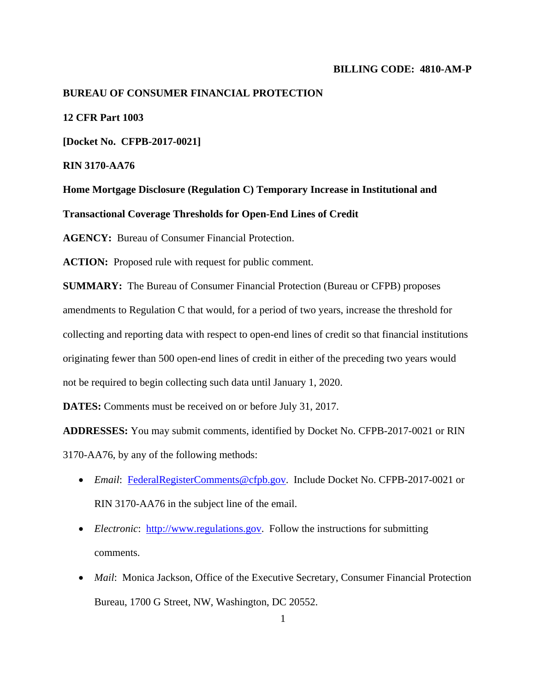# **BILLING CODE: 4810-AM-P**

#### **BUREAU OF CONSUMER FINANCIAL PROTECTION**

# **12 CFR Part 1003**

**[Docket No. CFPB-2017-0021]** 

# **RIN 3170-AA76**

**Home Mortgage Disclosure (Regulation C) Temporary Increase in Institutional and Transactional Coverage Thresholds for Open-End Lines of Credit** 

**AGENCY:** Bureau of Consumer Financial Protection.

ACTION: Proposed rule with request for public comment.

**SUMMARY:** The Bureau of Consumer Financial Protection (Bureau or CFPB) proposes amendments to Regulation C that would, for a period of two years, increase the threshold for collecting and reporting data with respect to open-end lines of credit so that financial institutions originating fewer than 500 open-end lines of credit in either of the preceding two years would not be required to begin collecting such data until January 1, 2020.

**DATES:** Comments must be received on or before July 31, 2017.

**ADDRESSES:** You may submit comments, identified by Docket No. CFPB-2017-0021 or RIN 3170-AA76, by any of the following methods:

- *Email*: FederalRegisterComments@cfpb.gov. Include Docket No. CFPB-2017-0021 or RIN 3170-AA76 in the subject line of the email.
- *Electronic*: http://www.regulations.gov. Follow the instructions for submitting comments.
- *Mail*: Monica Jackson, Office of the Executive Secretary, Consumer Financial Protection Bureau, 1700 G Street, NW, Washington, DC 20552.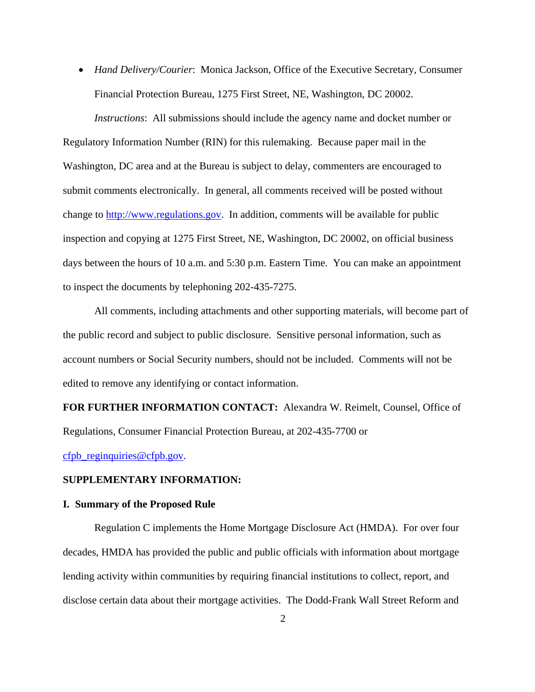*Hand Delivery/Courier*: Monica Jackson, Office of the Executive Secretary, Consumer Financial Protection Bureau, 1275 First Street, NE, Washington, DC 20002.

*Instructions*: All submissions should include the agency name and docket number or Regulatory Information Number (RIN) for this rulemaking. Because paper mail in the Washington, DC area and at the Bureau is subject to delay, commenters are encouraged to submit comments electronically. In general, all comments received will be posted without change to http://www.regulations.gov. In addition, comments will be available for public inspection and copying at 1275 First Street, NE, Washington, DC 20002, on official business days between the hours of 10 a.m. and 5:30 p.m. Eastern Time. You can make an appointment to inspect the documents by telephoning 202-435-7275.

All comments, including attachments and other supporting materials, will become part of the public record and subject to public disclosure. Sensitive personal information, such as account numbers or Social Security numbers, should not be included. Comments will not be edited to remove any identifying or contact information.

**FOR FURTHER INFORMATION CONTACT:** Alexandra W. Reimelt, Counsel, Office of Regulations, Consumer Financial Protection Bureau, at 202-435-7700 or

cfpb\_reginquiries@cfpb.gov.

# **SUPPLEMENTARY INFORMATION:**

## **I. Summary of the Proposed Rule**

Regulation C implements the Home Mortgage Disclosure Act (HMDA). For over four decades, HMDA has provided the public and public officials with information about mortgage lending activity within communities by requiring financial institutions to collect, report, and disclose certain data about their mortgage activities. The Dodd-Frank Wall Street Reform and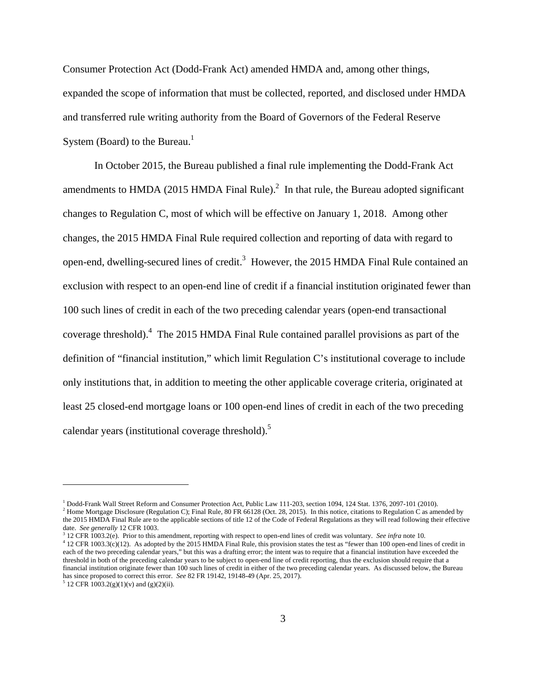Consumer Protection Act (Dodd-Frank Act) amended HMDA and, among other things, expanded the scope of information that must be collected, reported, and disclosed under HMDA and transferred rule writing authority from the Board of Governors of the Federal Reserve System (Board) to the Bureau. $<sup>1</sup>$ </sup>

In October 2015, the Bureau published a final rule implementing the Dodd-Frank Act amendments to HMDA (2015 HMDA Final Rule).<sup>2</sup> In that rule, the Bureau adopted significant changes to Regulation C, most of which will be effective on January 1, 2018. Among other changes, the 2015 HMDA Final Rule required collection and reporting of data with regard to open-end, dwelling-secured lines of credit.<sup>3</sup> However, the 2015 HMDA Final Rule contained an exclusion with respect to an open-end line of credit if a financial institution originated fewer than 100 such lines of credit in each of the two preceding calendar years (open-end transactional coverage threshold). <sup>4</sup> The 2015 HMDA Final Rule contained parallel provisions as part of the definition of "financial institution," which limit Regulation C's institutional coverage to include only institutions that, in addition to meeting the other applicable coverage criteria, originated at least 25 closed-end mortgage loans or 100 open-end lines of credit in each of the two preceding calendar years (institutional coverage threshold).<sup>5</sup>

date. *See generally* 12 CFR 1003.<br><sup>3</sup> 12 CFR 1003.2(e). Prior to this amendment, reporting with respect to open-end lines of credit was voluntary. *See infra* note 10.  $3$  12 CFR 1003.2(e). Prior to this amendment, reporting with respect to open-end lines of credit was voluntary. *See infra* note 10.<br><sup>4</sup> 12 CFR 1003.3(c)(12). As adopted by the 2015 HMDA Final Rule, this provision states each of the two preceding calendar years," but this was a drafting error; the intent was to require that a financial institution have exceeded the threshold in both of the preceding calendar years to be subject to open-end line of credit reporting, thus the exclusion should require that a financial institution originate fewer than 100 such lines of credit in either of the two preceding calendar years. As discussed below, the Bureau has since proposed to correct this error. *See* 82 FR 19142, 19148-49 (Apr. 25, 2017).

<sup>&</sup>lt;sup>1</sup> Dodd-Frank Wall Street Reform and Consumer Protection Act, Public Law 111-203, section 1094, 124 Stat. 1376, 2097-101 (2010).  $^{2}$  Home Mortgage Disclosure (Regulation C); Final Rule, 80 FR 66128 (Oct. 28, 2015). In this notice, citations to Regulation C as amended by the 2015 HMDA Final Rule are to the applicable sections of title 12 of the Code of Federal Regulations as they will read following their effective

 $5$  12 CFR 1003.2(g)(1)(v) and (g)(2)(ii).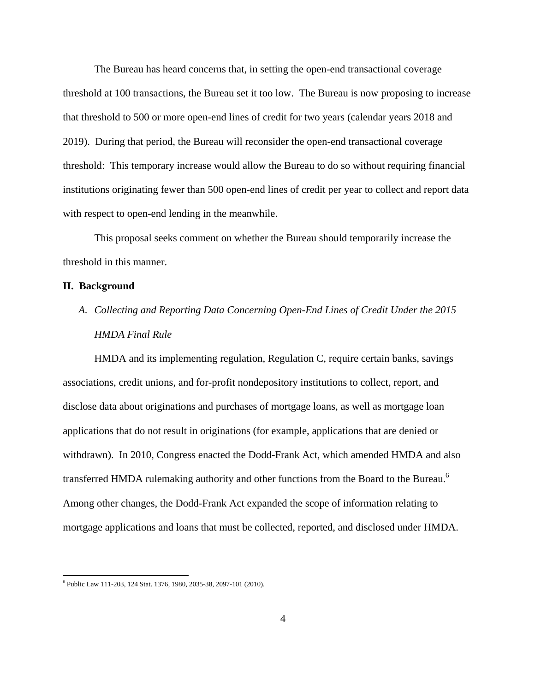The Bureau has heard concerns that, in setting the open-end transactional coverage threshold at 100 transactions, the Bureau set it too low. The Bureau is now proposing to increase that threshold to 500 or more open-end lines of credit for two years (calendar years 2018 and 2019). During that period, the Bureau will reconsider the open-end transactional coverage threshold: This temporary increase would allow the Bureau to do so without requiring financial institutions originating fewer than 500 open-end lines of credit per year to collect and report data with respect to open-end lending in the meanwhile.

This proposal seeks comment on whether the Bureau should temporarily increase the threshold in this manner.

#### **II. Background**

 $\overline{a}$ 

*A. Collecting and Reporting Data Concerning Open-End Lines of Credit Under the 2015 HMDA Final Rule* 

HMDA and its implementing regulation, Regulation C, require certain banks, savings associations, credit unions, and for-profit nondepository institutions to collect, report, and disclose data about originations and purchases of mortgage loans, as well as mortgage loan applications that do not result in originations (for example, applications that are denied or withdrawn). In 2010, Congress enacted the Dodd-Frank Act, which amended HMDA and also transferred HMDA rulemaking authority and other functions from the Board to the Bureau.<sup>6</sup> Among other changes, the Dodd-Frank Act expanded the scope of information relating to mortgage applications and loans that must be collected, reported, and disclosed under HMDA.

<sup>6</sup> Public Law 111-203, 124 Stat. 1376, 1980, 2035-38, 2097-101 (2010).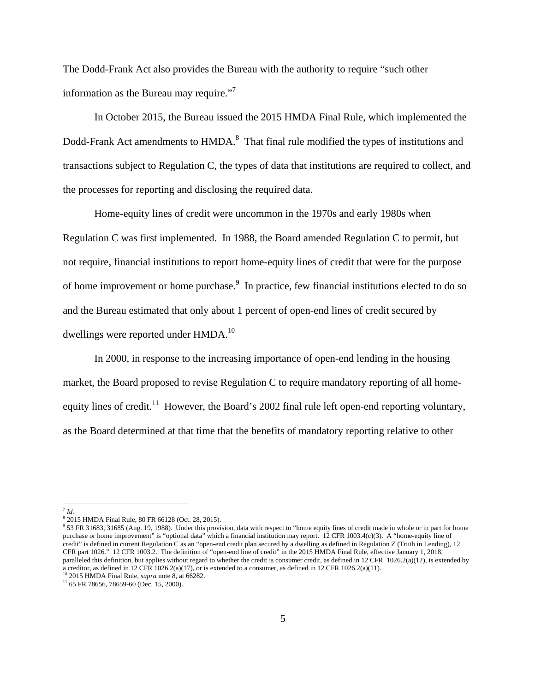The Dodd-Frank Act also provides the Bureau with the authority to require "such other information as the Bureau may require. $"$ 

In October 2015, the Bureau issued the 2015 HMDA Final Rule, which implemented the Dodd-Frank Act amendments to HMDA.<sup>8</sup> That final rule modified the types of institutions and transactions subject to Regulation C, the types of data that institutions are required to collect, and the processes for reporting and disclosing the required data.

Home-equity lines of credit were uncommon in the 1970s and early 1980s when Regulation C was first implemented. In 1988, the Board amended Regulation C to permit, but not require, financial institutions to report home-equity lines of credit that were for the purpose of home improvement or home purchase.<sup>9</sup> In practice, few financial institutions elected to do so and the Bureau estimated that only about 1 percent of open-end lines of credit secured by dwellings were reported under HMDA.<sup>10</sup>

In 2000, in response to the increasing importance of open-end lending in the housing market, the Board proposed to revise Regulation C to require mandatory reporting of all homeequity lines of credit.<sup>11</sup> However, the Board's 2002 final rule left open-end reporting voluntary, as the Board determined at that time that the benefits of mandatory reporting relative to other

5

<sup>1</sup>  $^7$  *Id.* 

<sup>8</sup> 2015 HMDA Final Rule, 80 FR 66128 (Oct. 28, 2015).

<sup>&</sup>lt;sup>9</sup> 53 FR 31683, 31685 (Aug. 19, 1988). Under this provision, data with respect to "home equity lines of credit made in whole or in part for home purchase or home improvement" is "optional data" which a financial institution may report. 12 CFR 1003.4(c)(3). A "home-equity line of credit" is defined in current Regulation C as an "open-end credit plan secured by a dwelling as defined in Regulation Z (Truth in Lending), 12 CFR part 1026." 12 CFR 1003.2. The definition of "open-end line of credit" in the 2015 HMDA Final Rule, effective January 1, 2018, paralleled this definition, but applies without regard to whether the credit is consumer credit, as defined in 12 CFR 1026.2(a)(12), is extended by a creditor, as defined in 12 CFR 1026.2(a)(17), or is extended to a consumer, as defined in 12 CFR 1026.2(a)(11).

<sup>&</sup>lt;sup>10</sup> 2015 HMDA Final Rule, *supra* note 8, at 66282.<br><sup>11</sup> 65 FR 78656, 78659-60 (Dec. 15, 2000).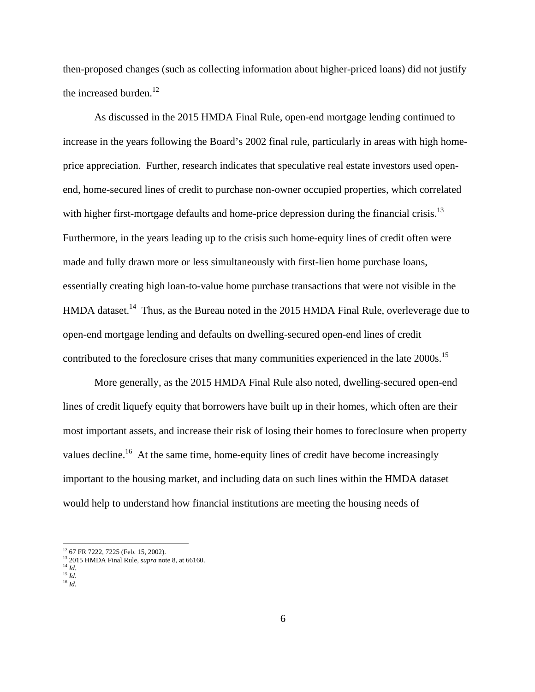then-proposed changes (such as collecting information about higher-priced loans) did not justify the increased burden.<sup>12</sup>

As discussed in the 2015 HMDA Final Rule, open-end mortgage lending continued to increase in the years following the Board's 2002 final rule, particularly in areas with high homeprice appreciation. Further, research indicates that speculative real estate investors used openend, home-secured lines of credit to purchase non-owner occupied properties, which correlated with higher first-mortgage defaults and home-price depression during the financial crisis.<sup>13</sup> Furthermore, in the years leading up to the crisis such home-equity lines of credit often were made and fully drawn more or less simultaneously with first-lien home purchase loans, essentially creating high loan-to-value home purchase transactions that were not visible in the HMDA dataset.<sup>14</sup> Thus, as the Bureau noted in the 2015 HMDA Final Rule, overleverage due to open-end mortgage lending and defaults on dwelling-secured open-end lines of credit contributed to the foreclosure crises that many communities experienced in the late 2000s.<sup>15</sup>

More generally, as the 2015 HMDA Final Rule also noted, dwelling-secured open-end lines of credit liquefy equity that borrowers have built up in their homes, which often are their most important assets, and increase their risk of losing their homes to foreclosure when property values decline.<sup>16</sup> At the same time, home-equity lines of credit have become increasingly important to the housing market, and including data on such lines within the HMDA dataset would help to understand how financial institutions are meeting the housing needs of

<sup>12 67</sup> FR 7222, 7225 (Feb. 15, 2002).

<sup>&</sup>lt;sup>13</sup> 2015 HMDA Final Rule, *supra* note 8, at 66160.<br><sup>14</sup> *Id* 

 $^{15}$  *Id.*  $^{16}\,$   $ld.$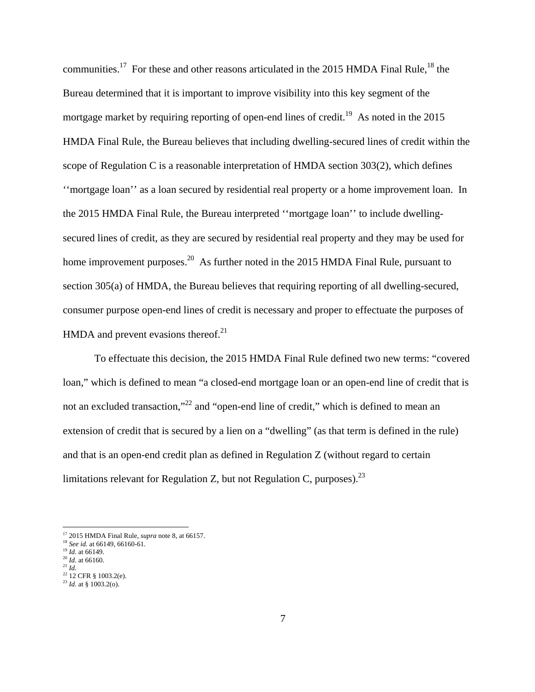communities.<sup>17</sup> For these and other reasons articulated in the 2015 HMDA Final Rule,<sup>18</sup> the Bureau determined that it is important to improve visibility into this key segment of the mortgage market by requiring reporting of open-end lines of credit.<sup>19</sup> As noted in the 2015 HMDA Final Rule, the Bureau believes that including dwelling-secured lines of credit within the scope of Regulation C is a reasonable interpretation of HMDA section 303(2), which defines ''mortgage loan'' as a loan secured by residential real property or a home improvement loan. In the 2015 HMDA Final Rule, the Bureau interpreted ''mortgage loan'' to include dwellingsecured lines of credit, as they are secured by residential real property and they may be used for home improvement purposes.<sup>20</sup> As further noted in the 2015 HMDA Final Rule, pursuant to section 305(a) of HMDA, the Bureau believes that requiring reporting of all dwelling-secured, consumer purpose open-end lines of credit is necessary and proper to effectuate the purposes of HMDA and prevent evasions thereof. $21$ 

To effectuate this decision, the 2015 HMDA Final Rule defined two new terms: "covered loan," which is defined to mean "a closed-end mortgage loan or an open-end line of credit that is not an excluded transaction,"<sup>22</sup> and "open-end line of credit," which is defined to mean an extension of credit that is secured by a lien on a "dwelling" (as that term is defined in the rule) and that is an open-end credit plan as defined in Regulation Z (without regard to certain limitations relevant for Regulation Z, but not Regulation C, purposes).<sup>23</sup>

1

<sup>&</sup>lt;sup>17</sup> 2015 HMDA Final Rule, *supra* note 8, at 66157.<br><sup>18</sup> *See id.* at 66149, 66160-61.<br><sup>19</sup> *Id.* at 66149.<br><sup>20</sup> *Id.* at 66160.<br><sup>21</sup> *Id.* 

 $22$  12 CFR § 1003.2(e). <sup>23</sup> *Id.* at § 1003.2(o).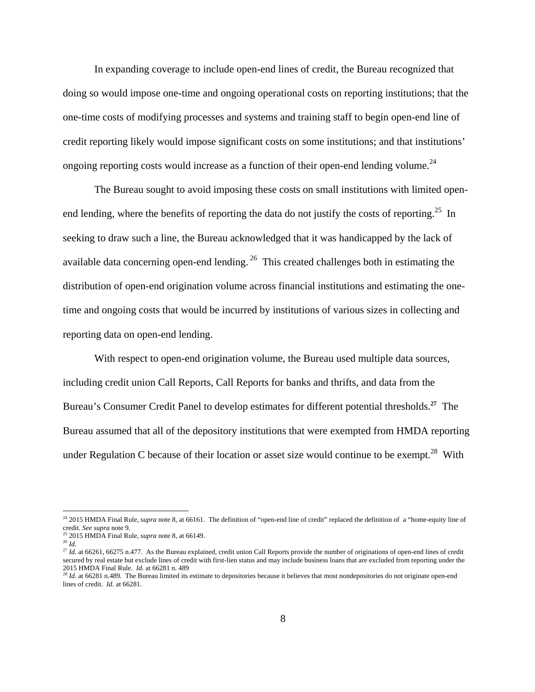In expanding coverage to include open-end lines of credit, the Bureau recognized that doing so would impose one-time and ongoing operational costs on reporting institutions; that the one-time costs of modifying processes and systems and training staff to begin open-end line of credit reporting likely would impose significant costs on some institutions; and that institutions' ongoing reporting costs would increase as a function of their open-end lending volume.<sup>24</sup>

The Bureau sought to avoid imposing these costs on small institutions with limited openend lending, where the benefits of reporting the data do not justify the costs of reporting.<sup>25</sup> In seeking to draw such a line, the Bureau acknowledged that it was handicapped by the lack of available data concerning open-end lending.<sup>26</sup> This created challenges both in estimating the distribution of open-end origination volume across financial institutions and estimating the onetime and ongoing costs that would be incurred by institutions of various sizes in collecting and reporting data on open-end lending.

With respect to open-end origination volume, the Bureau used multiple data sources, including credit union Call Reports, Call Reports for banks and thrifts, and data from the Bureau's Consumer Credit Panel to develop estimates for different potential thresholds.**<sup>27</sup>** The Bureau assumed that all of the depository institutions that were exempted from HMDA reporting under Regulation C because of their location or asset size would continue to be exempt.<sup>28</sup> With

1

<sup>&</sup>lt;sup>24</sup> 2015 HMDA Final Rule, *supra* note 8, at 66161. The definition of "open-end line of credit" replaced the definition of a "home-equity line of credit. *See supra* note 9*.* 

<sup>25 2015</sup> HMDA Final Rule, *supra* note 8, at 66149. 26 *Id.* 

<sup>&</sup>lt;sup>27</sup> *Id.* at 66261, 66275 n.477. As the Bureau explained, credit union Call Reports provide the number of originations of open-end lines of credit secured by real estate but exclude lines of credit with first-lien status and may include business loans that are excluded from reporting under the 2015 HMDA Final Rule. *Id.* at 66281 n. 489

<sup>&</sup>lt;sup>28</sup> *Id.* at 66281 n.489. The Bureau limited its estimate to depositories because it believes that most nondepositories do not originate open-end lines of credit. *Id.* at 66281.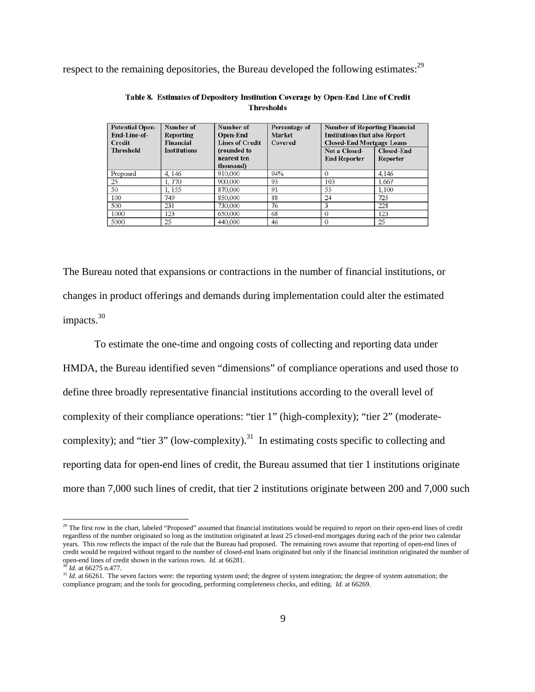respect to the remaining depositories, the Bureau developed the following estimates:<sup>29</sup>

| <b>Potential Open-</b><br>End-Line-of-<br><b>Credit</b><br><b>Threshold</b> | Number of<br><b>Reporting</b><br><b>Financial</b><br><b>Institutions</b> | Number of<br><b>Open-End</b><br><b>Lines of Credit</b><br>(rounded to<br>nearest ten<br>thousand) | Percentage of<br>Market<br>Covered | <b>Number of Reporting Financial</b><br><b>Institutions that also Report</b><br><b>Closed-End Mortgage Loans</b> |                               |
|-----------------------------------------------------------------------------|--------------------------------------------------------------------------|---------------------------------------------------------------------------------------------------|------------------------------------|------------------------------------------------------------------------------------------------------------------|-------------------------------|
|                                                                             |                                                                          |                                                                                                   |                                    | Not a Closed-<br><b>End Reporter</b>                                                                             | <b>Closed-End</b><br>Reporter |
| Proposed                                                                    | 4, 146                                                                   | 910,000                                                                                           | 94%                                |                                                                                                                  | 4,146                         |
| 25                                                                          | 1,770                                                                    | 900,000                                                                                           | 93                                 | 103                                                                                                              | 1,667                         |
| 50                                                                          | 1, 155                                                                   | 870,000                                                                                           | 91                                 | 55                                                                                                               | 1,100                         |
| 100                                                                         | 749                                                                      | 850,000                                                                                           | 88                                 | 24                                                                                                               | 725                           |
| 500                                                                         | 231                                                                      | 730,000                                                                                           | 76                                 | 3                                                                                                                | 228                           |
| 1000                                                                        | 123                                                                      | 650,000                                                                                           | 68                                 |                                                                                                                  | 123                           |
| 5000                                                                        | 25                                                                       | 440,000                                                                                           | 46                                 |                                                                                                                  | 25                            |

#### Table 8. Estimates of Depository Institution Coverage by Open-End Line of Credit **Thresholds**

The Bureau noted that expansions or contractions in the number of financial institutions, or changes in product offerings and demands during implementation could alter the estimated impacts.<sup>30</sup>

To estimate the one-time and ongoing costs of collecting and reporting data under HMDA, the Bureau identified seven "dimensions" of compliance operations and used those to define three broadly representative financial institutions according to the overall level of complexity of their compliance operations: "tier 1" (high-complexity); "tier 2" (moderatecomplexity); and "tier 3" (low-complexity).<sup>31</sup> In estimating costs specific to collecting and reporting data for open-end lines of credit, the Bureau assumed that tier 1 institutions originate more than 7,000 such lines of credit, that tier 2 institutions originate between 200 and 7,000 such

<sup>&</sup>lt;sup>29</sup> The first row in the chart, labeled "Proposed" assumed that financial institutions would be required to report on their open-end lines of credit regardless of the number originated so long as the institution originated at least 25 closed-end mortgages during each of the prior two calendar years. This row reflects the impact of the rule that the Bureau had proposed. The remaining rows assume that reporting of open-end lines of credit would be required without regard to the number of closed-end loans originated but only if the financial institution originated the number of open-end lines of credit shown in the various rows. *Id.* at 66281.

 $\frac{30 \text{ I}}{1}$  at 66275 n.477.<br><sup>31</sup> *Id.* at 66261. The seven factors were: the reporting system used; the degree of system integration; the degree of system automation; the compliance program; and the tools for geocoding, performing completeness checks, and editing. *Id.* at 66269.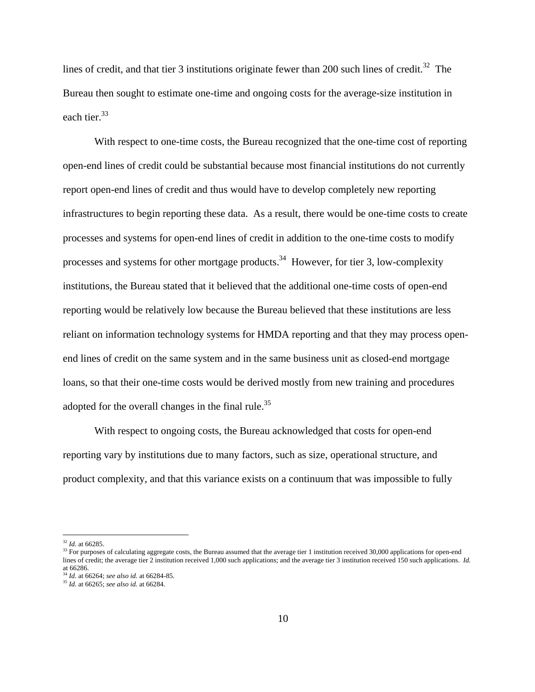lines of credit, and that tier 3 institutions originate fewer than 200 such lines of credit.<sup>32</sup> The Bureau then sought to estimate one-time and ongoing costs for the average-size institution in each tier.<sup>33</sup>

With respect to one-time costs, the Bureau recognized that the one-time cost of reporting open-end lines of credit could be substantial because most financial institutions do not currently report open-end lines of credit and thus would have to develop completely new reporting infrastructures to begin reporting these data. As a result, there would be one-time costs to create processes and systems for open-end lines of credit in addition to the one-time costs to modify processes and systems for other mortgage products.<sup>34</sup> However, for tier 3, low-complexity institutions, the Bureau stated that it believed that the additional one-time costs of open-end reporting would be relatively low because the Bureau believed that these institutions are less reliant on information technology systems for HMDA reporting and that they may process openend lines of credit on the same system and in the same business unit as closed-end mortgage loans, so that their one-time costs would be derived mostly from new training and procedures adopted for the overall changes in the final rule.<sup>35</sup>

With respect to ongoing costs, the Bureau acknowledged that costs for open-end reporting vary by institutions due to many factors, such as size, operational structure, and product complexity, and that this variance exists on a continuum that was impossible to fully

 $32$  *Id.* at 66285.

<sup>&</sup>lt;sup>33</sup> For purposes of calculating aggregate costs, the Bureau assumed that the average tier 1 institution received 30,000 applications for open-end lines of credit; the average tier 2 institution received 1,000 such applications; and the average tier 3 institution received 150 such applications. *Id.* at 66286.<br> $^{34}$  *Id.* at 66264; see also id. at 66284-85.

<sup>34</sup> *Id.* at 66264; *see also id.* at 66284-85. 35 *Id.* at 66265; *see also id.* at 66284.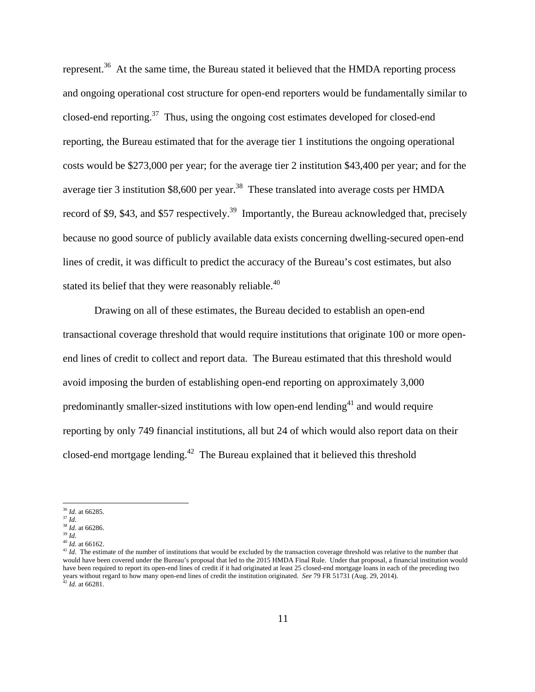represent.36 At the same time, the Bureau stated it believed that the HMDA reporting process and ongoing operational cost structure for open-end reporters would be fundamentally similar to closed-end reporting.37 Thus, using the ongoing cost estimates developed for closed-end reporting, the Bureau estimated that for the average tier 1 institutions the ongoing operational costs would be \$273,000 per year; for the average tier 2 institution \$43,400 per year; and for the average tier 3 institution  $$8,600$  per year.<sup>38</sup> These translated into average costs per HMDA record of \$9, \$43, and \$57 respectively.<sup>39</sup> Importantly, the Bureau acknowledged that, precisely because no good source of publicly available data exists concerning dwelling-secured open-end lines of credit, it was difficult to predict the accuracy of the Bureau's cost estimates, but also stated its belief that they were reasonably reliable.<sup>40</sup>

Drawing on all of these estimates, the Bureau decided to establish an open-end transactional coverage threshold that would require institutions that originate 100 or more openend lines of credit to collect and report data. The Bureau estimated that this threshold would avoid imposing the burden of establishing open-end reporting on approximately 3,000 predominantly smaller-sized institutions with low open-end lending<sup>41</sup> and would require reporting by only 749 financial institutions, all but 24 of which would also report data on their closed-end mortgage lending.<sup>42</sup> The Bureau explained that it believed this threshold

<sup>36</sup> *Id.* at 66285.

<sup>37</sup> *Id.* 

<sup>38</sup> *Id.* at 66286. 39 *Id.* 

<sup>&</sup>lt;sup>41</sup> *Id.* The estimate of the number of institutions that would be excluded by the transaction coverage threshold was relative to the number that would have been covered under the Bureau's proposal that led to the 2015 HMDA Final Rule. Under that proposal, a financial institution would have been required to report its open-end lines of credit if it had originated at least 25 closed-end mortgage loans in each of the preceding two years without regard to how many open-end lines of credit the institution originated. *See 79 FR 51731* (Aug. 29, 2014).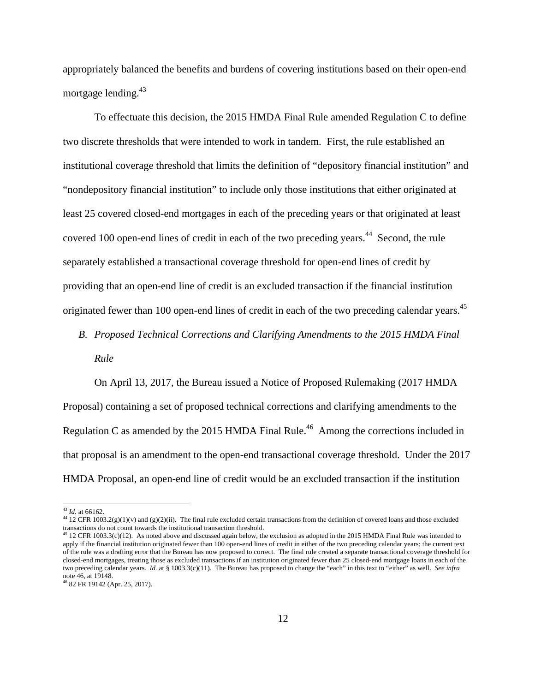appropriately balanced the benefits and burdens of covering institutions based on their open-end mortgage lending.<sup>43</sup>

To effectuate this decision, the 2015 HMDA Final Rule amended Regulation C to define two discrete thresholds that were intended to work in tandem. First, the rule established an institutional coverage threshold that limits the definition of "depository financial institution" and "nondepository financial institution" to include only those institutions that either originated at least 25 covered closed-end mortgages in each of the preceding years or that originated at least covered 100 open-end lines of credit in each of the two preceding years.<sup>44</sup> Second, the rule separately established a transactional coverage threshold for open-end lines of credit by providing that an open-end line of credit is an excluded transaction if the financial institution originated fewer than 100 open-end lines of credit in each of the two preceding calendar years.<sup>45</sup>

*B. Proposed Technical Corrections and Clarifying Amendments to the 2015 HMDA Final Rule* 

On April 13, 2017, the Bureau issued a Notice of Proposed Rulemaking (2017 HMDA Proposal) containing a set of proposed technical corrections and clarifying amendments to the Regulation C as amended by the 2015 HMDA Final Rule.<sup>46</sup> Among the corrections included in that proposal is an amendment to the open-end transactional coverage threshold. Under the 2017 HMDA Proposal, an open-end line of credit would be an excluded transaction if the institution

<sup>&</sup>lt;sup>43</sup> *Id.* at 66162.<br><sup>44</sup> 12 CFR 1003.2(g)(1)(v) and (g)(2)(ii). The final rule excluded certain transactions from the definition of covered loans and those excluded transactions do not count towards the institutional transaction threshold.<br><sup>45</sup> 12 CFR 1003.3(c)(12). As noted above and discussed again below, the exclusion as adopted in the 2015 HMDA Final Rule was intended to

apply if the financial institution originated fewer than 100 open-end lines of credit in either of the two preceding calendar years; the current text of the rule was a drafting error that the Bureau has now proposed to correct. The final rule created a separate transactional coverage threshold for closed-end mortgages, treating those as excluded transactions if an institution originated fewer than 25 closed-end mortgage loans in each of the two preceding calendar years. *Id.* at § 1003.3(c)(11). The Bureau has proposed to change the "each" in this text to "either" as well. *See infra*  note 46, at 19148.

<sup>46 82</sup> FR 19142 (Apr. 25, 2017).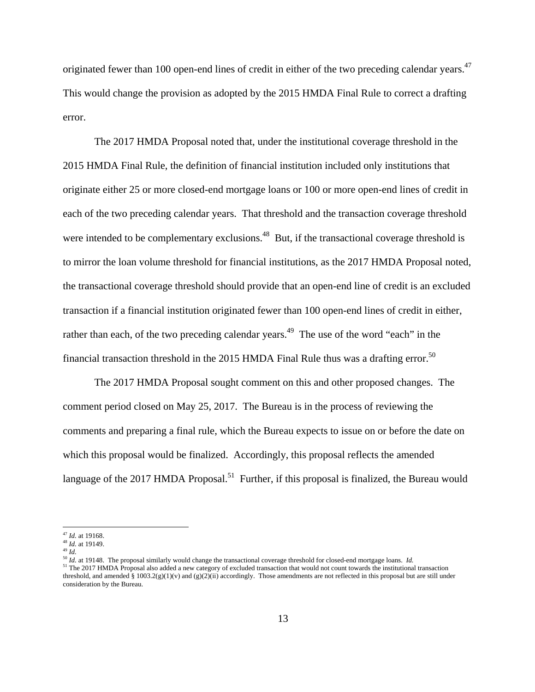originated fewer than 100 open-end lines of credit in either of the two preceding calendar years.<sup>47</sup> This would change the provision as adopted by the 2015 HMDA Final Rule to correct a drafting error.

The 2017 HMDA Proposal noted that, under the institutional coverage threshold in the 2015 HMDA Final Rule, the definition of financial institution included only institutions that originate either 25 or more closed-end mortgage loans or 100 or more open-end lines of credit in each of the two preceding calendar years. That threshold and the transaction coverage threshold were intended to be complementary exclusions.<sup>48</sup> But, if the transactional coverage threshold is to mirror the loan volume threshold for financial institutions, as the 2017 HMDA Proposal noted, the transactional coverage threshold should provide that an open-end line of credit is an excluded transaction if a financial institution originated fewer than 100 open-end lines of credit in either, rather than each, of the two preceding calendar years.<sup>49</sup> The use of the word "each" in the financial transaction threshold in the 2015 HMDA Final Rule thus was a drafting error.<sup>50</sup>

The 2017 HMDA Proposal sought comment on this and other proposed changes. The comment period closed on May 25, 2017. The Bureau is in the process of reviewing the comments and preparing a final rule, which the Bureau expects to issue on or before the date on which this proposal would be finalized. Accordingly, this proposal reflects the amended language of the 2017 HMDA Proposal.<sup>51</sup> Further, if this proposal is finalized, the Bureau would

 $\overline{a}$ <sup>47</sup> *Id.* at 19168.

<sup>48</sup> *Id.* at 19149. 49 *Id.* 

<sup>50</sup> *Id.* at 19148. The proposal similarly would change the transactional coverage threshold for closed-end mortgage loans. *Id.* 

<sup>&</sup>lt;sup>51</sup> The 2017 HMDA Proposal also added a new category of excluded transaction that would not count towards the institutional transaction threshold, and amended § 1003.2(g)(1)(v) and (g)(2)(ii) accordingly. Those amendments are not reflected in this proposal but are still under consideration by the Bureau.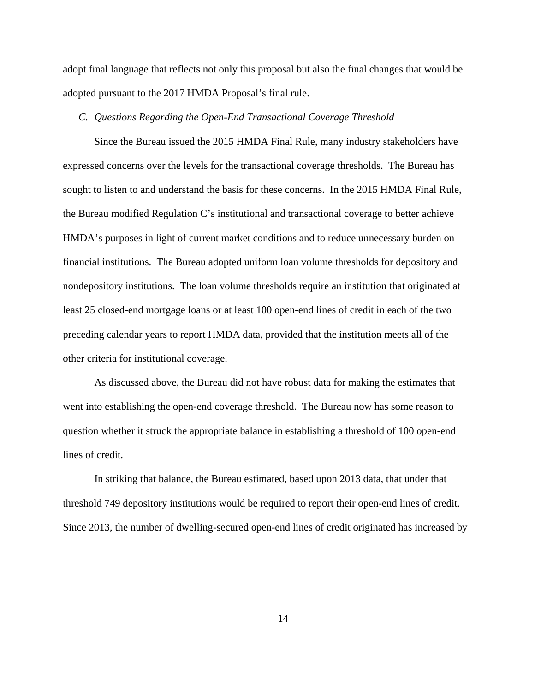adopt final language that reflects not only this proposal but also the final changes that would be adopted pursuant to the 2017 HMDA Proposal's final rule.

## *C. Questions Regarding the Open-End Transactional Coverage Threshold*

Since the Bureau issued the 2015 HMDA Final Rule, many industry stakeholders have expressed concerns over the levels for the transactional coverage thresholds. The Bureau has sought to listen to and understand the basis for these concerns. In the 2015 HMDA Final Rule, the Bureau modified Regulation C's institutional and transactional coverage to better achieve HMDA's purposes in light of current market conditions and to reduce unnecessary burden on financial institutions. The Bureau adopted uniform loan volume thresholds for depository and nondepository institutions. The loan volume thresholds require an institution that originated at least 25 closed-end mortgage loans or at least 100 open-end lines of credit in each of the two preceding calendar years to report HMDA data, provided that the institution meets all of the other criteria for institutional coverage.

As discussed above, the Bureau did not have robust data for making the estimates that went into establishing the open-end coverage threshold. The Bureau now has some reason to question whether it struck the appropriate balance in establishing a threshold of 100 open-end lines of credit.

In striking that balance, the Bureau estimated, based upon 2013 data, that under that threshold 749 depository institutions would be required to report their open-end lines of credit. Since 2013, the number of dwelling-secured open-end lines of credit originated has increased by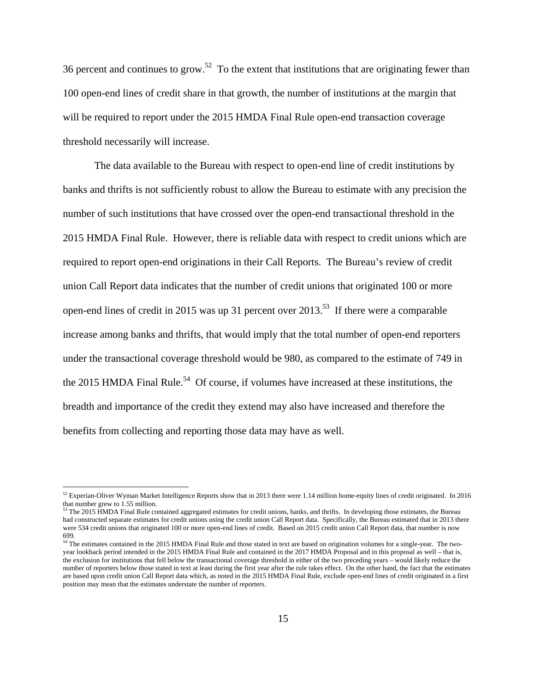36 percent and continues to grow.<sup>52</sup> To the extent that institutions that are originating fewer than 100 open-end lines of credit share in that growth, the number of institutions at the margin that will be required to report under the 2015 HMDA Final Rule open-end transaction coverage threshold necessarily will increase.

The data available to the Bureau with respect to open-end line of credit institutions by banks and thrifts is not sufficiently robust to allow the Bureau to estimate with any precision the number of such institutions that have crossed over the open-end transactional threshold in the 2015 HMDA Final Rule. However, there is reliable data with respect to credit unions which are required to report open-end originations in their Call Reports. The Bureau's review of credit union Call Report data indicates that the number of credit unions that originated 100 or more open-end lines of credit in 2015 was up 31 percent over 2013.53 If there were a comparable increase among banks and thrifts, that would imply that the total number of open-end reporters under the transactional coverage threshold would be 980, as compared to the estimate of 749 in the 2015 HMDA Final Rule.<sup>54</sup> Of course, if volumes have increased at these institutions, the breadth and importance of the credit they extend may also have increased and therefore the benefits from collecting and reporting those data may have as well.

 $52$  Experian-Oliver Wyman Market Intelligence Reports show that in 2013 there were 1.14 million home-equity lines of credit originated. In 2016 that number grew to 1.55 million.

 $53$  The 2015 HMDA Final Rule contained aggregated estimates for credit unions, banks, and thrifts. In developing those estimates, the Bureau had constructed separate estimates for credit unions using the credit union Call Report data. Specifically, the Bureau estimated that in 2013 there were 534 credit unions that originated 100 or more open-end lines of credit. Based on 2015 credit union Call Report data, that number is now 699.

<sup>&</sup>lt;sup>54</sup> The estimates contained in the 2015 HMDA Final Rule and those stated in text are based on origination volumes for a single-year. The twoyear lookback period intended in the 2015 HMDA Final Rule and contained in the 2017 HMDA Proposal and in this proposal as well – that is, the exclusion for institutions that fell below the transactional coverage threshold in either of the two preceding years – would likely reduce the number of reporters below those stated in text at least during the first year after the rule takes effect. On the other hand, the fact that the estimates are based upon credit union Call Report data which, as noted in the 2015 HMDA Final Rule, exclude open-end lines of credit originated in a first position may mean that the estimates understate the number of reporters.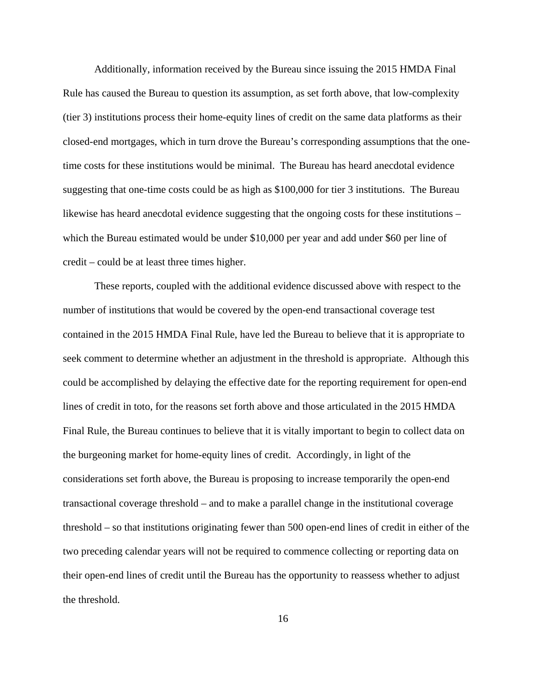Additionally, information received by the Bureau since issuing the 2015 HMDA Final Rule has caused the Bureau to question its assumption, as set forth above, that low-complexity (tier 3) institutions process their home-equity lines of credit on the same data platforms as their closed-end mortgages, which in turn drove the Bureau's corresponding assumptions that the onetime costs for these institutions would be minimal. The Bureau has heard anecdotal evidence suggesting that one-time costs could be as high as \$100,000 for tier 3 institutions. The Bureau likewise has heard anecdotal evidence suggesting that the ongoing costs for these institutions – which the Bureau estimated would be under \$10,000 per year and add under \$60 per line of credit – could be at least three times higher.

These reports, coupled with the additional evidence discussed above with respect to the number of institutions that would be covered by the open-end transactional coverage test contained in the 2015 HMDA Final Rule, have led the Bureau to believe that it is appropriate to seek comment to determine whether an adjustment in the threshold is appropriate. Although this could be accomplished by delaying the effective date for the reporting requirement for open-end lines of credit in toto, for the reasons set forth above and those articulated in the 2015 HMDA Final Rule, the Bureau continues to believe that it is vitally important to begin to collect data on the burgeoning market for home-equity lines of credit. Accordingly, in light of the considerations set forth above, the Bureau is proposing to increase temporarily the open-end transactional coverage threshold – and to make a parallel change in the institutional coverage threshold – so that institutions originating fewer than 500 open-end lines of credit in either of the two preceding calendar years will not be required to commence collecting or reporting data on their open-end lines of credit until the Bureau has the opportunity to reassess whether to adjust the threshold.

16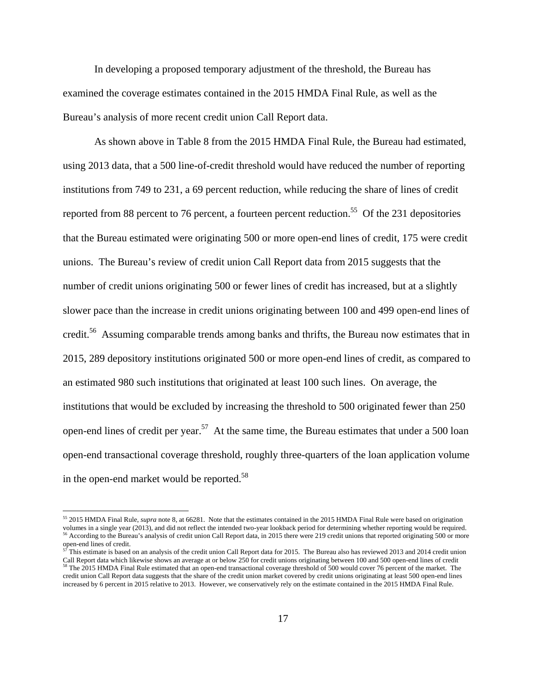In developing a proposed temporary adjustment of the threshold, the Bureau has examined the coverage estimates contained in the 2015 HMDA Final Rule, as well as the Bureau's analysis of more recent credit union Call Report data.

As shown above in Table 8 from the 2015 HMDA Final Rule, the Bureau had estimated, using 2013 data, that a 500 line-of-credit threshold would have reduced the number of reporting institutions from 749 to 231, a 69 percent reduction, while reducing the share of lines of credit reported from 88 percent to 76 percent, a fourteen percent reduction.<sup>55</sup> Of the 231 depositories that the Bureau estimated were originating 500 or more open-end lines of credit, 175 were credit unions. The Bureau's review of credit union Call Report data from 2015 suggests that the number of credit unions originating 500 or fewer lines of credit has increased, but at a slightly slower pace than the increase in credit unions originating between 100 and 499 open-end lines of credit.<sup>56</sup> Assuming comparable trends among banks and thrifts, the Bureau now estimates that in 2015, 289 depository institutions originated 500 or more open-end lines of credit, as compared to an estimated 980 such institutions that originated at least 100 such lines. On average, the institutions that would be excluded by increasing the threshold to 500 originated fewer than 250 open-end lines of credit per year.<sup>57</sup> At the same time, the Bureau estimates that under a 500 loan open-end transactional coverage threshold, roughly three-quarters of the loan application volume in the open-end market would be reported.<sup>58</sup>

<sup>55 2015</sup> HMDA Final Rule, *supra* note 8, at 66281. Note that the estimates contained in the 2015 HMDA Final Rule were based on origination volumes in a single year (2013), and did not reflect the intended two-year lookback period for determining whether reporting would be required.<br><sup>56</sup> According to the Bureau's analysis of credit union Call Report data, in 2 open-end lines of credit.

 $57$  This estimate is based on an analysis of the credit union Call Report data for 2015. The Bureau also has reviewed 2013 and 2014 credit union Call Report data which likewise shows an average at or below 250 for credit <sup>58</sup> The 2015 HMDA Final Rule estimated that an open-end transactional coverage threshold of 500 would cover 76 percent of the market. The credit union Call Report data suggests that the share of the credit union market covered by credit unions originating at least 500 open-end lines increased by 6 percent in 2015 relative to 2013. However, we conservatively rely on the estimate contained in the 2015 HMDA Final Rule.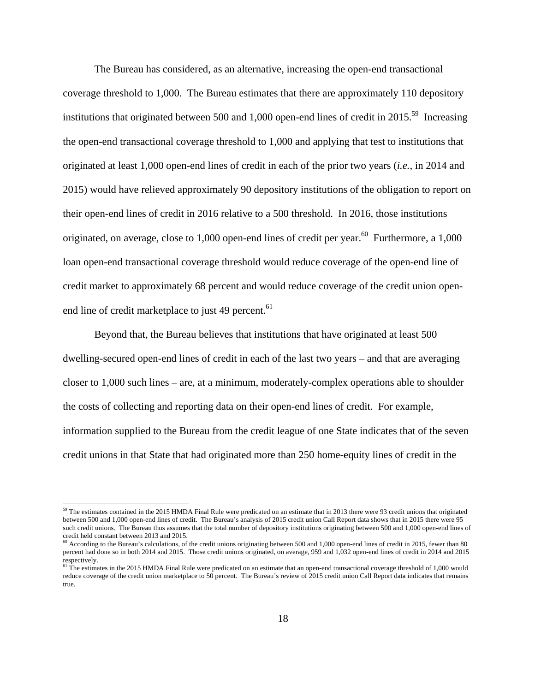The Bureau has considered, as an alternative, increasing the open-end transactional coverage threshold to 1,000. The Bureau estimates that there are approximately 110 depository institutions that originated between 500 and 1,000 open-end lines of credit in 2015.<sup>59</sup> Increasing the open-end transactional coverage threshold to 1,000 and applying that test to institutions that originated at least 1,000 open-end lines of credit in each of the prior two years (*i.e.*, in 2014 and 2015) would have relieved approximately 90 depository institutions of the obligation to report on their open-end lines of credit in 2016 relative to a 500 threshold. In 2016, those institutions originated, on average, close to 1,000 open-end lines of credit per year.<sup>60</sup> Furthermore, a 1,000 loan open-end transactional coverage threshold would reduce coverage of the open-end line of credit market to approximately 68 percent and would reduce coverage of the credit union openend line of credit marketplace to just 49 percent.<sup>61</sup>

Beyond that, the Bureau believes that institutions that have originated at least 500 dwelling-secured open-end lines of credit in each of the last two years – and that are averaging closer to 1,000 such lines – are, at a minimum, moderately-complex operations able to shoulder the costs of collecting and reporting data on their open-end lines of credit. For example, information supplied to the Bureau from the credit league of one State indicates that of the seven credit unions in that State that had originated more than 250 home-equity lines of credit in the

<sup>&</sup>lt;sup>59</sup> The estimates contained in the 2015 HMDA Final Rule were predicated on an estimate that in 2013 there were 93 credit unions that originated between 500 and 1,000 open-end lines of credit. The Bureau's analysis of 2015 credit union Call Report data shows that in 2015 there were 95 such credit unions. The Bureau thus assumes that the total number of depository institutions originating between 500 and 1,000 open-end lines of credit held constant between 2013 and 2015.

<sup>&</sup>lt;sup>60</sup> According to the Bureau's calculations, of the credit unions originating between 500 and 1,000 open-end lines of credit in 2015, fewer than 80 percent had done so in both 2014 and 2015. Those credit unions originated, on average, 959 and 1,032 open-end lines of credit in 2014 and 2015 respectively.

 $61$  The estimates in the 2015 HMDA Final Rule were predicated on an estimate that an open-end transactional coverage threshold of 1,000 would reduce coverage of the credit union marketplace to 50 percent. The Bureau's review of 2015 credit union Call Report data indicates that remains true.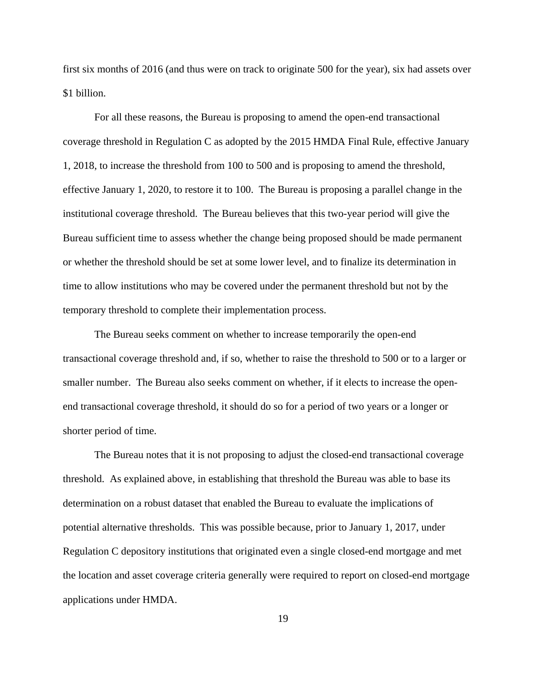first six months of 2016 (and thus were on track to originate 500 for the year), six had assets over \$1 billion.

For all these reasons, the Bureau is proposing to amend the open-end transactional coverage threshold in Regulation C as adopted by the 2015 HMDA Final Rule, effective January 1, 2018, to increase the threshold from 100 to 500 and is proposing to amend the threshold, effective January 1, 2020, to restore it to 100. The Bureau is proposing a parallel change in the institutional coverage threshold. The Bureau believes that this two-year period will give the Bureau sufficient time to assess whether the change being proposed should be made permanent or whether the threshold should be set at some lower level, and to finalize its determination in time to allow institutions who may be covered under the permanent threshold but not by the temporary threshold to complete their implementation process.

The Bureau seeks comment on whether to increase temporarily the open-end transactional coverage threshold and, if so, whether to raise the threshold to 500 or to a larger or smaller number. The Bureau also seeks comment on whether, if it elects to increase the openend transactional coverage threshold, it should do so for a period of two years or a longer or shorter period of time.

The Bureau notes that it is not proposing to adjust the closed-end transactional coverage threshold. As explained above, in establishing that threshold the Bureau was able to base its determination on a robust dataset that enabled the Bureau to evaluate the implications of potential alternative thresholds. This was possible because, prior to January 1, 2017, under Regulation C depository institutions that originated even a single closed-end mortgage and met the location and asset coverage criteria generally were required to report on closed-end mortgage applications under HMDA.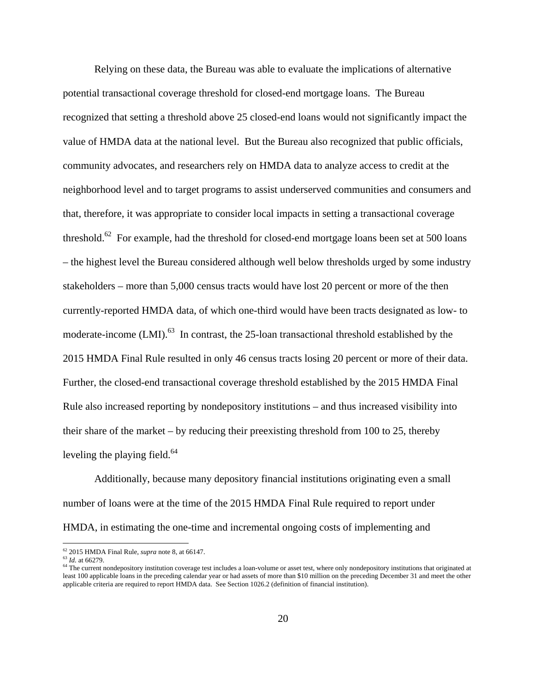Relying on these data, the Bureau was able to evaluate the implications of alternative potential transactional coverage threshold for closed-end mortgage loans. The Bureau recognized that setting a threshold above 25 closed-end loans would not significantly impact the value of HMDA data at the national level. But the Bureau also recognized that public officials, community advocates, and researchers rely on HMDA data to analyze access to credit at the neighborhood level and to target programs to assist underserved communities and consumers and that, therefore, it was appropriate to consider local impacts in setting a transactional coverage threshold.<sup>62</sup> For example, had the threshold for closed-end mortgage loans been set at 500 loans – the highest level the Bureau considered although well below thresholds urged by some industry stakeholders – more than 5,000 census tracts would have lost 20 percent or more of the then currently-reported HMDA data, of which one-third would have been tracts designated as low- to moderate-income  $(LMI)$ <sup>63</sup>. In contrast, the 25-loan transactional threshold established by the 2015 HMDA Final Rule resulted in only 46 census tracts losing 20 percent or more of their data. Further, the closed-end transactional coverage threshold established by the 2015 HMDA Final Rule also increased reporting by nondepository institutions – and thus increased visibility into their share of the market – by reducing their preexisting threshold from 100 to 25, thereby leveling the playing field. $64$ 

Additionally, because many depository financial institutions originating even a small number of loans were at the time of the 2015 HMDA Final Rule required to report under HMDA, in estimating the one-time and incremental ongoing costs of implementing and

 $\frac{62}{101}$  2015 HMDA Final Rule, *supra* note 8, at 66147.<br>  $\frac{63}{101}$  at 66279.<br>  $\frac{64}{101}$  The current nondepository institution coverage test includes a loan-volume or asset test, where only nondepository institu least 100 applicable loans in the preceding calendar year or had assets of more than \$10 million on the preceding December 31 and meet the other applicable criteria are required to report HMDA data. See Section 1026.2 (definition of financial institution).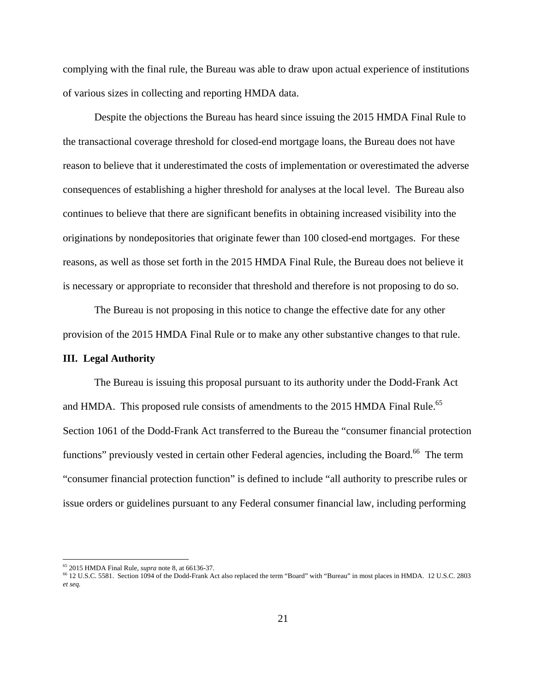complying with the final rule, the Bureau was able to draw upon actual experience of institutions of various sizes in collecting and reporting HMDA data.

Despite the objections the Bureau has heard since issuing the 2015 HMDA Final Rule to the transactional coverage threshold for closed-end mortgage loans, the Bureau does not have reason to believe that it underestimated the costs of implementation or overestimated the adverse consequences of establishing a higher threshold for analyses at the local level. The Bureau also continues to believe that there are significant benefits in obtaining increased visibility into the originations by nondepositories that originate fewer than 100 closed-end mortgages. For these reasons, as well as those set forth in the 2015 HMDA Final Rule, the Bureau does not believe it is necessary or appropriate to reconsider that threshold and therefore is not proposing to do so.

The Bureau is not proposing in this notice to change the effective date for any other provision of the 2015 HMDA Final Rule or to make any other substantive changes to that rule.

## **III. Legal Authority**

The Bureau is issuing this proposal pursuant to its authority under the Dodd-Frank Act and HMDA. This proposed rule consists of amendments to the 2015 HMDA Final Rule.<sup>65</sup> Section 1061 of the Dodd-Frank Act transferred to the Bureau the "consumer financial protection functions" previously vested in certain other Federal agencies, including the Board.<sup>66</sup> The term "consumer financial protection function" is defined to include "all authority to prescribe rules or issue orders or guidelines pursuant to any Federal consumer financial law, including performing

<sup>&</sup>lt;sup>65</sup> 2015 HMDA Final Rule, *supra* note 8, at 66136-37.<br><sup>66</sup> 12 U.S.C. 5581. Section 1094 of the Dodd-Frank Act also replaced the term "Board" with "Bureau" in most places in HMDA. 12 U.S.C. 2803 *et seq.*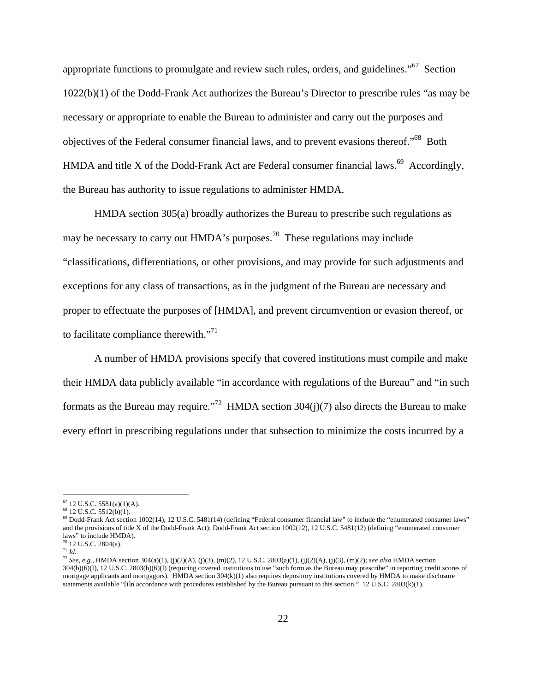appropriate functions to promulgate and review such rules, orders, and guidelines."67 Section 1022(b)(1) of the Dodd-Frank Act authorizes the Bureau's Director to prescribe rules "as may be necessary or appropriate to enable the Bureau to administer and carry out the purposes and objectives of the Federal consumer financial laws, and to prevent evasions thereof."68 Both HMDA and title X of the Dodd-Frank Act are Federal consumer financial laws.<sup>69</sup> Accordingly, the Bureau has authority to issue regulations to administer HMDA.

HMDA section 305(a) broadly authorizes the Bureau to prescribe such regulations as may be necessary to carry out  $HMDA$ 's purposes.<sup>70</sup> These regulations may include "classifications, differentiations, or other provisions, and may provide for such adjustments and exceptions for any class of transactions, as in the judgment of the Bureau are necessary and proper to effectuate the purposes of [HMDA], and prevent circumvention or evasion thereof, or to facilitate compliance therewith. $"^{71}$ 

A number of HMDA provisions specify that covered institutions must compile and make their HMDA data publicly available "in accordance with regulations of the Bureau" and "in such formats as the Bureau may require."<sup>72</sup> HMDA section  $304(j)(7)$  also directs the Bureau to make every effort in prescribing regulations under that subsection to minimize the costs incurred by a

 $\overline{a}$  $67$  12 U.S.C. 5581(a)(1)(A).

<sup>68 12</sup> U.S.C. 5512(b)(1).

 $^{69}$  Dodd-Frank Act section 1002(14), 12 U.S.C. 5481(14) (defining "Federal consumer financial law" to include the "enumerated consumer laws" and the provisions of title X of the Dodd-Frank Act); Dodd-Frank Act section 1002(12), 12 U.S.C. 5481(12) (defining "enumerated consumer laws" to include HMDA).

<sup>70 12</sup> U.S.C. 2804(a).

<sup>71</sup> *Id.*

<sup>72</sup> *See, e.g.*, HMDA section 304(a)(1), (j)(2)(A), (j)(3), (m)(2), 12 U.S.C. 2803(a)(1), (j)(2)(A), (j)(3), (m)(2); *see also* HMDA section 304(b)(6)(I), 12 U.S.C. 2803(b)(6)(I) (requiring covered institutions to use "such form as the Bureau may prescribe" in reporting credit scores of mortgage applicants and mortgagors). HMDA section 304(k)(1) also requires depository institutions covered by HMDA to make disclosure statements available "[i]n accordance with procedures established by the Bureau pursuant to this section." 12 U.S.C. 2803(k)(1).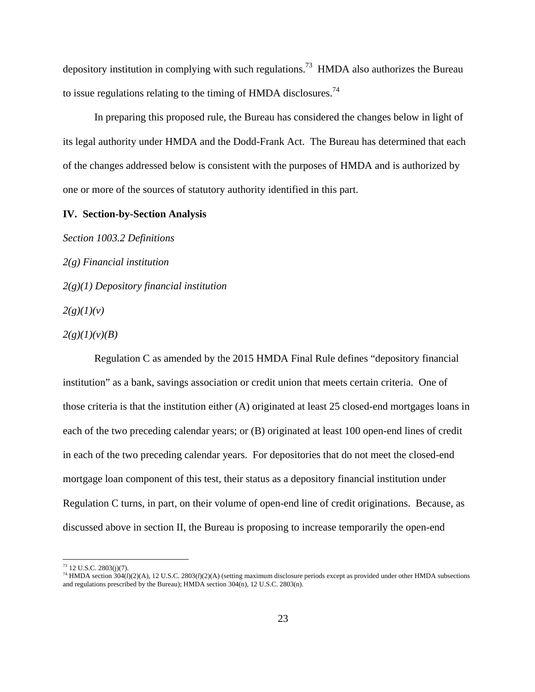depository institution in complying with such regulations.<sup>73</sup> HMDA also authorizes the Bureau to issue regulations relating to the timing of HMDA disclosures.<sup>74</sup>

In preparing this proposed rule, the Bureau has considered the changes below in light of its legal authority under HMDA and the Dodd-Frank Act. The Bureau has determined that each of the changes addressed below is consistent with the purposes of HMDA and is authorized by one or more of the sources of statutory authority identified in this part.

## **IV. Section-by-Section Analysis**

*Section 1003.2 Definitions 2(g) Financial institution 2(g)(1) Depository financial institution*   $2(g)(1)(v)$ 

*2(g)(1)(v)(B)*  Regulation C as amended by the 2015 HMDA Final Rule defines "depository financial institution" as a bank, savings association or credit union that meets certain criteria. One of those criteria is that the institution either (A) originated at least 25 closed-end mortgages loans in each of the two preceding calendar years; or (B) originated at least 100 open-end lines of credit in each of the two preceding calendar years. For depositories that do not meet the closed-end mortgage loan component of this test, their status as a depository financial institution under Regulation C turns, in part, on their volume of open-end line of credit originations. Because, as discussed above in section II, the Bureau is proposing to increase temporarily the open-end

 $73$  12 U.S.C. 2803(j)(7).

<sup>74</sup> HMDA section 304(*l*)(2)(A), 12 U.S.C. 2803(*l*)(2)(A) (setting maximum disclosure periods except as provided under other HMDA subsections and regulations prescribed by the Bureau); HMDA section  $304(n)$ ,  $12$  U.S.C.  $2803(n)$ .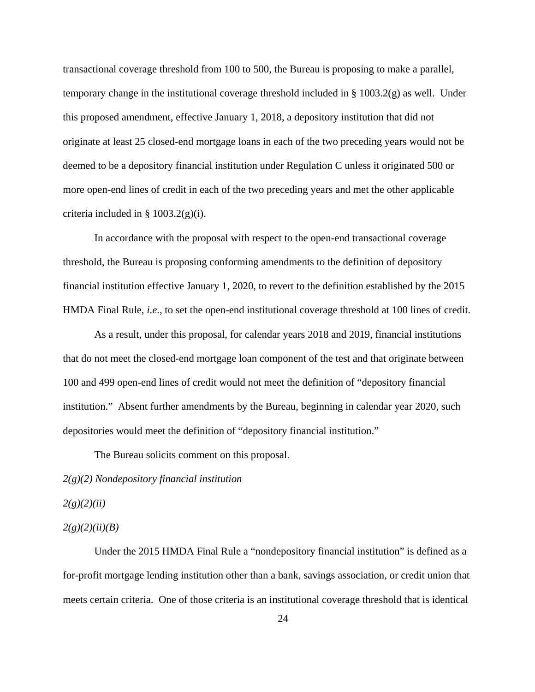transactional coverage threshold from 100 to 500, the Bureau is proposing to make a parallel, temporary change in the institutional coverage threshold included in § 1003.2(g) as well. Under this proposed amendment, effective January 1, 2018, a depository institution that did not originate at least 25 closed-end mortgage loans in each of the two preceding years would not be deemed to be a depository financial institution under Regulation C unless it originated 500 or more open-end lines of credit in each of the two preceding years and met the other applicable criteria included in §  $1003.2(g)(i)$ .

In accordance with the proposal with respect to the open-end transactional coverage threshold, the Bureau is proposing conforming amendments to the definition of depository financial institution effective January 1, 2020, to revert to the definition established by the 2015 HMDA Final Rule, *i*.*e*., to set the open-end institutional coverage threshold at 100 lines of credit.

As a result, under this proposal, for calendar years 2018 and 2019, financial institutions that do not meet the closed-end mortgage loan component of the test and that originate between 100 and 499 open-end lines of credit would not meet the definition of "depository financial institution." Absent further amendments by the Bureau, beginning in calendar year 2020, such depositories would meet the definition of "depository financial institution."

The Bureau solicits comment on this proposal.

*2(g)(2) Nondepository financial institution* 

## *2(g)(2)(ii)*

## *2(g)(2)(ii)(B)*

Under the 2015 HMDA Final Rule a "nondepository financial institution" is defined as a for-profit mortgage lending institution other than a bank, savings association, or credit union that meets certain criteria. One of those criteria is an institutional coverage threshold that is identical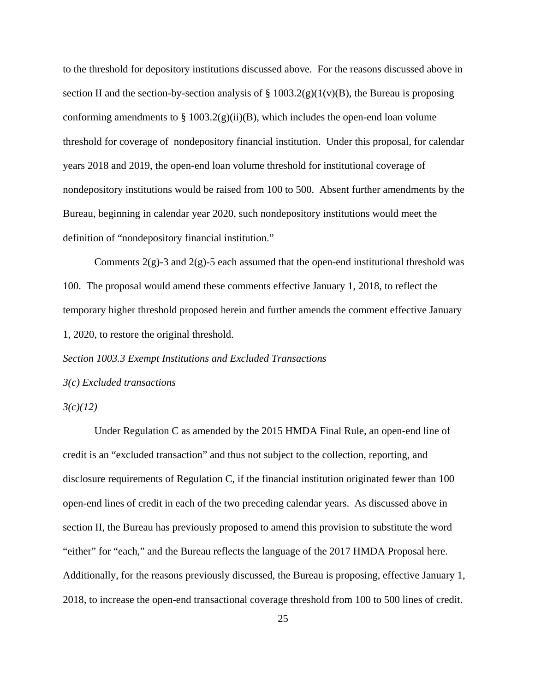to the threshold for depository institutions discussed above. For the reasons discussed above in section II and the section-by-section analysis of  $\S 1003.2(g)(1(v)(B))$ , the Bureau is proposing conforming amendments to  $\S 1003.2(g)(ii)(B)$ , which includes the open-end loan volume threshold for coverage of nondepository financial institution. Under this proposal, for calendar years 2018 and 2019, the open-end loan volume threshold for institutional coverage of nondepository institutions would be raised from 100 to 500. Absent further amendments by the Bureau, beginning in calendar year 2020, such nondepository institutions would meet the definition of "nondepository financial institution."

Comments  $2(g)$ -3 and  $2(g)$ -5 each assumed that the open-end institutional threshold was 100. The proposal would amend these comments effective January 1, 2018, to reflect the temporary higher threshold proposed herein and further amends the comment effective January 1, 2020, to restore the original threshold.

*Section 1003.3 Exempt Institutions and Excluded Transactions* 

*3(c) Excluded transactions* 

*3(c)(12)* 

Under Regulation C as amended by the 2015 HMDA Final Rule, an open-end line of credit is an "excluded transaction" and thus not subject to the collection, reporting, and disclosure requirements of Regulation C, if the financial institution originated fewer than 100 open-end lines of credit in each of the two preceding calendar years. As discussed above in section II, the Bureau has previously proposed to amend this provision to substitute the word "either" for "each," and the Bureau reflects the language of the 2017 HMDA Proposal here. Additionally, for the reasons previously discussed, the Bureau is proposing, effective January 1, 2018, to increase the open-end transactional coverage threshold from 100 to 500 lines of credit.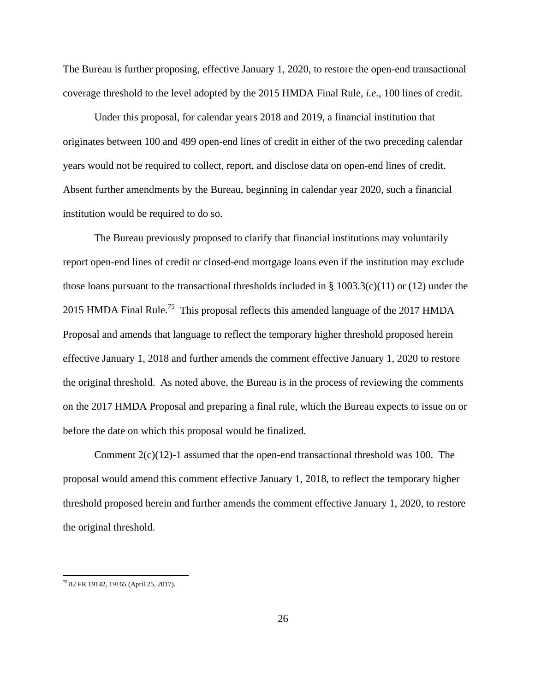The Bureau is further proposing, effective January 1, 2020, to restore the open-end transactional coverage threshold to the level adopted by the 2015 HMDA Final Rule, *i.e.*, 100 lines of credit.

Under this proposal, for calendar years 2018 and 2019, a financial institution that originates between 100 and 499 open-end lines of credit in either of the two preceding calendar years would not be required to collect, report, and disclose data on open-end lines of credit. Absent further amendments by the Bureau, beginning in calendar year 2020, such a financial institution would be required to do so.

The Bureau previously proposed to clarify that financial institutions may voluntarily report open-end lines of credit or closed-end mortgage loans even if the institution may exclude those loans pursuant to the transactional thresholds included in § 1003.3(c)(11) or (12) under the 2015 HMDA Final Rule.<sup>75</sup> This proposal reflects this amended language of the 2017 HMDA Proposal and amends that language to reflect the temporary higher threshold proposed herein effective January 1, 2018 and further amends the comment effective January 1, 2020 to restore the original threshold. As noted above, the Bureau is in the process of reviewing the comments on the 2017 HMDA Proposal and preparing a final rule, which the Bureau expects to issue on or before the date on which this proposal would be finalized.

Comment  $2(c)(12)-1$  assumed that the open-end transactional threshold was 100. The proposal would amend this comment effective January 1, 2018, to reflect the temporary higher threshold proposed herein and further amends the comment effective January 1, 2020, to restore the original threshold.

1

<sup>75 82</sup> FR 19142, 19165 (April 25, 2017).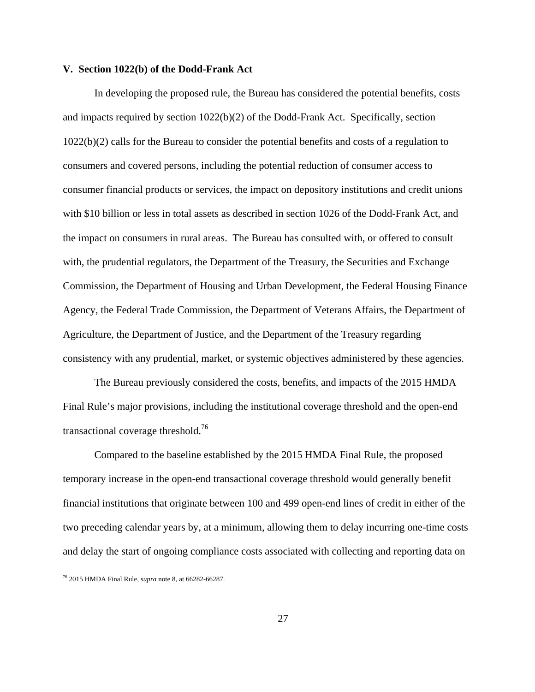## **V. Section 1022(b) of the Dodd-Frank Act**

In developing the proposed rule, the Bureau has considered the potential benefits, costs and impacts required by section 1022(b)(2) of the Dodd-Frank Act. Specifically, section 1022(b)(2) calls for the Bureau to consider the potential benefits and costs of a regulation to consumers and covered persons, including the potential reduction of consumer access to consumer financial products or services, the impact on depository institutions and credit unions with \$10 billion or less in total assets as described in section 1026 of the Dodd-Frank Act, and the impact on consumers in rural areas. The Bureau has consulted with, or offered to consult with, the prudential regulators, the Department of the Treasury, the Securities and Exchange Commission, the Department of Housing and Urban Development, the Federal Housing Finance Agency, the Federal Trade Commission, the Department of Veterans Affairs, the Department of Agriculture, the Department of Justice, and the Department of the Treasury regarding consistency with any prudential, market, or systemic objectives administered by these agencies.

The Bureau previously considered the costs, benefits, and impacts of the 2015 HMDA Final Rule's major provisions, including the institutional coverage threshold and the open-end transactional coverage threshold.<sup>76</sup>

Compared to the baseline established by the 2015 HMDA Final Rule, the proposed temporary increase in the open-end transactional coverage threshold would generally benefit financial institutions that originate between 100 and 499 open-end lines of credit in either of the two preceding calendar years by, at a minimum, allowing them to delay incurring one-time costs and delay the start of ongoing compliance costs associated with collecting and reporting data on

<sup>76 2015</sup> HMDA Final Rule*, supra* note 8, at 66282-66287.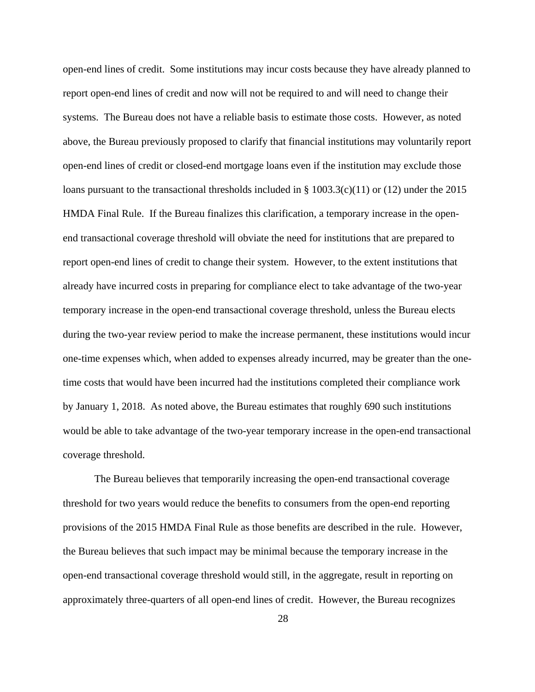open-end lines of credit. Some institutions may incur costs because they have already planned to report open-end lines of credit and now will not be required to and will need to change their systems. The Bureau does not have a reliable basis to estimate those costs. However, as noted above, the Bureau previously proposed to clarify that financial institutions may voluntarily report open-end lines of credit or closed-end mortgage loans even if the institution may exclude those loans pursuant to the transactional thresholds included in § 1003.3(c)(11) or (12) under the 2015 HMDA Final Rule. If the Bureau finalizes this clarification, a temporary increase in the openend transactional coverage threshold will obviate the need for institutions that are prepared to report open-end lines of credit to change their system. However, to the extent institutions that already have incurred costs in preparing for compliance elect to take advantage of the two-year temporary increase in the open-end transactional coverage threshold, unless the Bureau elects during the two-year review period to make the increase permanent, these institutions would incur one-time expenses which, when added to expenses already incurred, may be greater than the onetime costs that would have been incurred had the institutions completed their compliance work by January 1, 2018. As noted above, the Bureau estimates that roughly 690 such institutions would be able to take advantage of the two-year temporary increase in the open-end transactional coverage threshold.

The Bureau believes that temporarily increasing the open-end transactional coverage threshold for two years would reduce the benefits to consumers from the open-end reporting provisions of the 2015 HMDA Final Rule as those benefits are described in the rule. However, the Bureau believes that such impact may be minimal because the temporary increase in the open-end transactional coverage threshold would still, in the aggregate, result in reporting on approximately three-quarters of all open-end lines of credit. However, the Bureau recognizes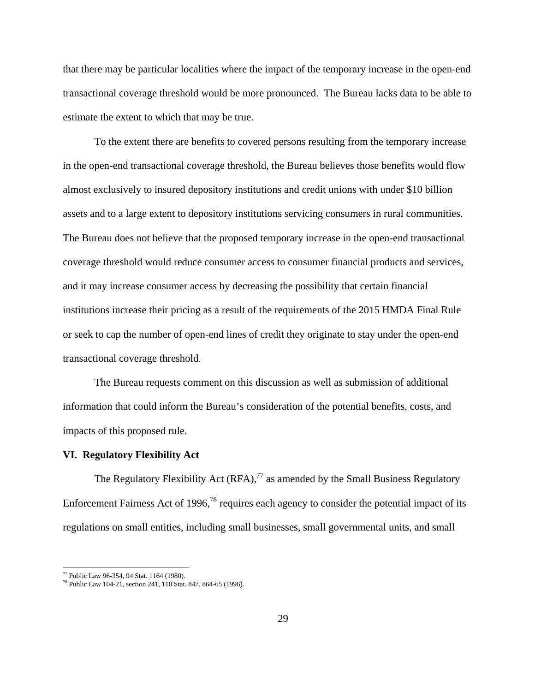that there may be particular localities where the impact of the temporary increase in the open-end transactional coverage threshold would be more pronounced. The Bureau lacks data to be able to estimate the extent to which that may be true.

To the extent there are benefits to covered persons resulting from the temporary increase in the open-end transactional coverage threshold, the Bureau believes those benefits would flow almost exclusively to insured depository institutions and credit unions with under \$10 billion assets and to a large extent to depository institutions servicing consumers in rural communities. The Bureau does not believe that the proposed temporary increase in the open-end transactional coverage threshold would reduce consumer access to consumer financial products and services, and it may increase consumer access by decreasing the possibility that certain financial institutions increase their pricing as a result of the requirements of the 2015 HMDA Final Rule or seek to cap the number of open-end lines of credit they originate to stay under the open-end transactional coverage threshold.

The Bureau requests comment on this discussion as well as submission of additional information that could inform the Bureau's consideration of the potential benefits, costs, and impacts of this proposed rule.

## **VI. Regulatory Flexibility Act**

The Regulatory Flexibility Act  $(RFA)$ ,<sup>77</sup> as amended by the Small Business Regulatory Enforcement Fairness Act of 1996,<sup>78</sup> requires each agency to consider the potential impact of its regulations on small entities, including small businesses, small governmental units, and small

1

<sup>&</sup>lt;sup>77</sup> Public Law 96-354, 94 Stat. 1164 (1980).<br><sup>78</sup> Public Law 104-21, section 241, 110 Stat. 847, 864-65 (1996).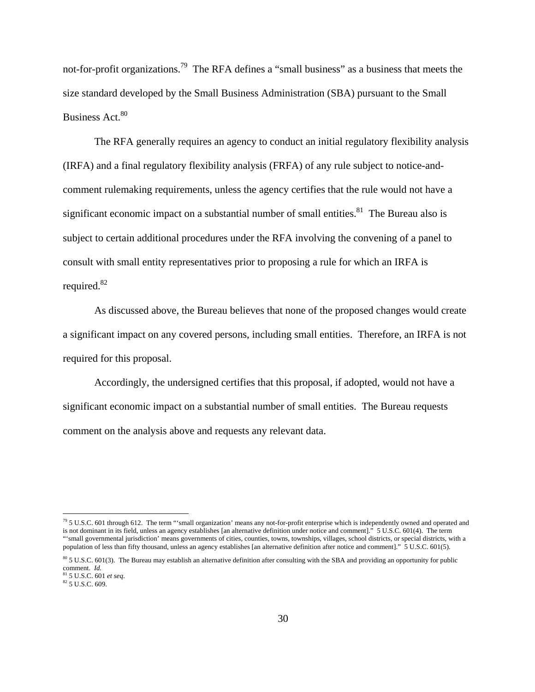not-for-profit organizations.<sup>79</sup> The RFA defines a "small business" as a business that meets the size standard developed by the Small Business Administration (SBA) pursuant to the Small Business Act.<sup>80</sup>

The RFA generally requires an agency to conduct an initial regulatory flexibility analysis (IRFA) and a final regulatory flexibility analysis (FRFA) of any rule subject to notice-andcomment rulemaking requirements, unless the agency certifies that the rule would not have a significant economic impact on a substantial number of small entities.<sup>81</sup> The Bureau also is subject to certain additional procedures under the RFA involving the convening of a panel to consult with small entity representatives prior to proposing a rule for which an IRFA is required.<sup>82</sup>

As discussed above, the Bureau believes that none of the proposed changes would create a significant impact on any covered persons, including small entities. Therefore, an IRFA is not required for this proposal.

Accordingly, the undersigned certifies that this proposal, if adopted, would not have a significant economic impact on a substantial number of small entities. The Bureau requests comment on the analysis above and requests any relevant data.

 $79$  5 U.S.C. 601 through 612. The term "'small organization' means any not-for-profit enterprise which is independently owned and operated and is not dominant in its field, unless an agency establishes [an alternative definition under notice and comment]." 5 U.S.C. 601(4). The term "'small governmental jurisdiction' means governments of cities, counties, towns, townships, villages, school districts, or special districts, with a population of less than fifty thousand, unless an agency establishes [an alternative definition after notice and comment]." 5 U.S.C. 601(5).

 $80$  5 U.S.C. 601(3). The Bureau may establish an alternative definition after consulting with the SBA and providing an opportunity for public comment. *Id.*

<sup>81 5</sup> U.S.C. 601 *et seq*. 82 5 U.S.C. 609.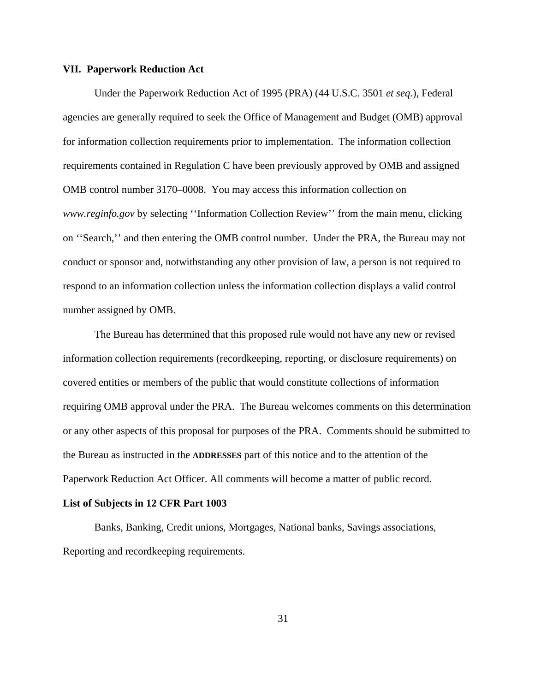#### **VII. Paperwork Reduction Act**

Under the Paperwork Reduction Act of 1995 (PRA) (44 U.S.C. 3501 *et seq.*), Federal agencies are generally required to seek the Office of Management and Budget (OMB) approval for information collection requirements prior to implementation. The information collection requirements contained in Regulation C have been previously approved by OMB and assigned OMB control number 3170–0008. You may access this information collection on *www.reginfo.gov* by selecting ''Information Collection Review'' from the main menu, clicking on ''Search,'' and then entering the OMB control number. Under the PRA, the Bureau may not conduct or sponsor and, notwithstanding any other provision of law, a person is not required to respond to an information collection unless the information collection displays a valid control number assigned by OMB.

The Bureau has determined that this proposed rule would not have any new or revised information collection requirements (recordkeeping, reporting, or disclosure requirements) on covered entities or members of the public that would constitute collections of information requiring OMB approval under the PRA. The Bureau welcomes comments on this determination or any other aspects of this proposal for purposes of the PRA. Comments should be submitted to the Bureau as instructed in the **ADDRESSES** part of this notice and to the attention of the Paperwork Reduction Act Officer. All comments will become a matter of public record.

#### **List of Subjects in 12 CFR Part 1003**

Banks, Banking, Credit unions, Mortgages, National banks, Savings associations, Reporting and recordkeeping requirements.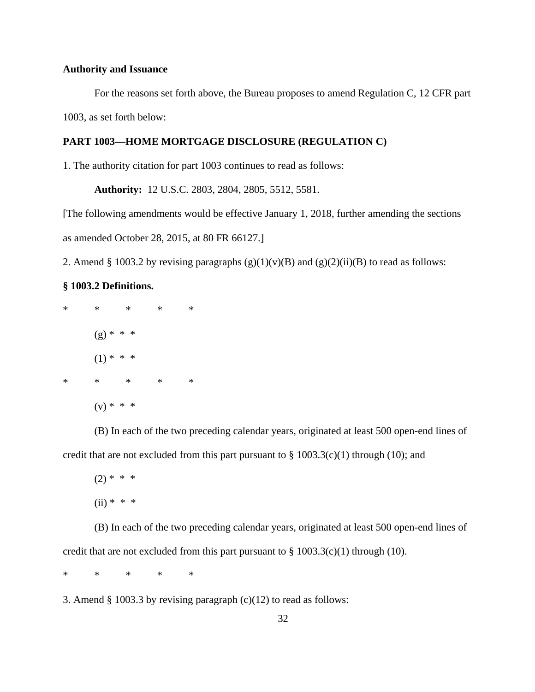## **Authority and Issuance**

For the reasons set forth above, the Bureau proposes to amend Regulation C, 12 CFR part 1003, as set forth below:

# **PART 1003—HOME MORTGAGE DISCLOSURE (REGULATION C)**

1. The authority citation for part 1003 continues to read as follows:

**Authority:** 12 U.S.C. 2803, 2804, 2805, 5512, 5581.

[The following amendments would be effective January 1, 2018, further amending the sections

as amended October 28, 2015, at 80 FR 66127.]

2. Amend § 1003.2 by revising paragraphs  $(g)(1)(v)(B)$  and  $(g)(2)(ii)(B)$  to read as follows:

# **§ 1003.2 Definitions.**

\* \* \* \* \*  $(g) * * * *$  $(1) * * * *$ \* \* \* \* \*

(B) In each of the two preceding calendar years, originated at least 500 open-end lines of credit that are not excluded from this part pursuant to  $\S$  1003.3(c)(1) through (10); and

 $(2)$  \* \* \*

 $(y) * * * *$ 

 $(ii) * * * *$ 

(B) In each of the two preceding calendar years, originated at least 500 open-end lines of credit that are not excluded from this part pursuant to  $\S$  1003.3(c)(1) through (10).

\* \* \* \* \*

3. Amend § 1003.3 by revising paragraph (c)(12) to read as follows: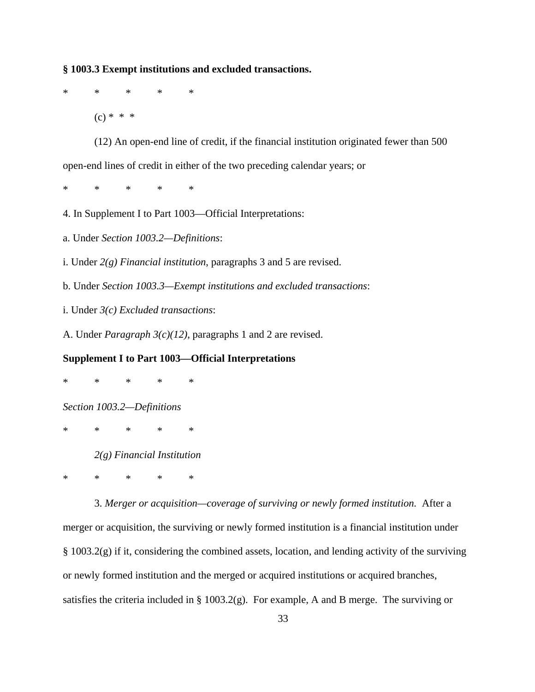**§ 1003.3 Exempt institutions and excluded transactions.** 

\* \* \* \* \*

 $(c) * * * *$ 

(12) An open-end line of credit, if the financial institution originated fewer than 500 open-end lines of credit in either of the two preceding calendar years; or

\* \* \* \* \*

4. In Supplement I to Part 1003—Official Interpretations:

a. Under *Section 1003.2—Definitions*:

i. Under *2(g) Financial institution*, paragraphs 3 and 5 are revised.

b. Under *Section 1003.3—Exempt institutions and excluded transactions*:

i. Under *3(c) Excluded transactions*:

A. Under *Paragraph 3(c)(12)*, paragraphs 1 and 2 are revised.

## **Supplement I to Part 1003—Official Interpretations**

\* \* \* \* \*

*Section 1003.2—Definitions* 

\* \* \* \* \*

*2(g) Financial Institution* 

\* \* \* \* \*

3. *Merger or acquisition—coverage of surviving or newly formed institution.* After a merger or acquisition, the surviving or newly formed institution is a financial institution under § 1003.2(g) if it, considering the combined assets, location, and lending activity of the surviving or newly formed institution and the merged or acquired institutions or acquired branches, satisfies the criteria included in  $\S 1003.2(g)$ . For example, A and B merge. The surviving or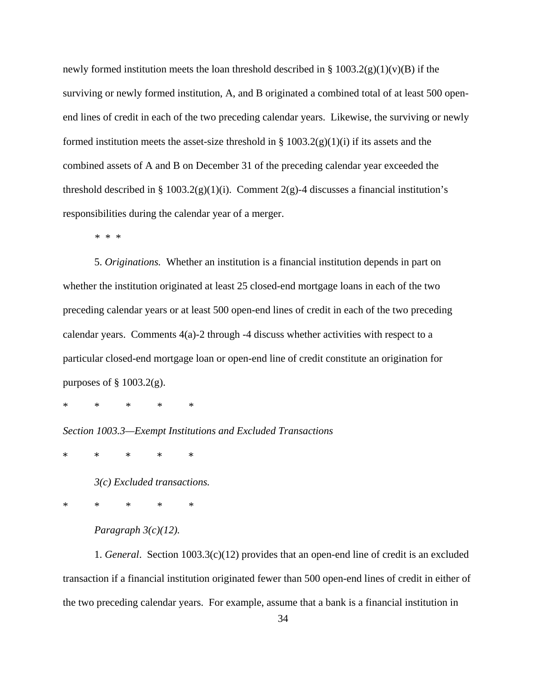newly formed institution meets the loan threshold described in §  $1003.2(g)(1)(v)(B)$  if the surviving or newly formed institution, A, and B originated a combined total of at least 500 openend lines of credit in each of the two preceding calendar years. Likewise, the surviving or newly formed institution meets the asset-size threshold in  $\S$  1003.2(g)(1)(i) if its assets and the combined assets of A and B on December 31 of the preceding calendar year exceeded the threshold described in § 1003.2(g)(1)(i). Comment 2(g)-4 discusses a financial institution's responsibilities during the calendar year of a merger.

*\* \* \**

5. *Originations.* Whether an institution is a financial institution depends in part on whether the institution originated at least 25 closed-end mortgage loans in each of the two preceding calendar years or at least 500 open-end lines of credit in each of the two preceding calendar years. Comments  $4(a)-2$  through  $-4$  discuss whether activities with respect to a particular closed-end mortgage loan or open-end line of credit constitute an origination for purposes of  $\S$  1003.2(g).

\* \* \* \* \*

*Section 1003.3—Exempt Institutions and Excluded Transactions* 

\* \* \* \* \*

*3(c) Excluded transactions.* 

\* \* \* \* \*

## *Paragraph 3(c)(12).*

1. *General*. Section 1003.3(c)(12) provides that an open-end line of credit is an excluded transaction if a financial institution originated fewer than 500 open-end lines of credit in either of the two preceding calendar years. For example, assume that a bank is a financial institution in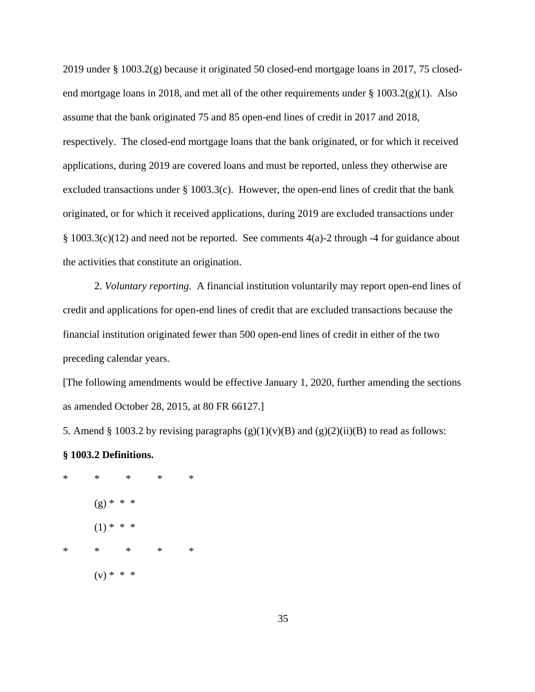2019 under § 1003.2(g) because it originated 50 closed-end mortgage loans in 2017, 75 closedend mortgage loans in 2018, and met all of the other requirements under  $\S 1003.2(g)(1)$ . Also assume that the bank originated 75 and 85 open-end lines of credit in 2017 and 2018, respectively. The closed-end mortgage loans that the bank originated, or for which it received applications, during 2019 are covered loans and must be reported, unless they otherwise are excluded transactions under § 1003.3(c). However, the open-end lines of credit that the bank originated, or for which it received applications, during 2019 are excluded transactions under  $§ 1003.3(c)(12)$  and need not be reported. See comments 4(a)-2 through -4 for guidance about the activities that constitute an origination.

2. *Voluntary reporting.* A financial institution voluntarily may report open-end lines of credit and applications for open-end lines of credit that are excluded transactions because the financial institution originated fewer than 500 open-end lines of credit in either of the two preceding calendar years.

[The following amendments would be effective January 1, 2020, further amending the sections as amended October 28, 2015, at 80 FR 66127.]

5. Amend § 1003.2 by revising paragraphs  $(g)(1)(v)(B)$  and  $(g)(2)(ii)(B)$  to read as follows:

## **§ 1003.2 Definitions.**

\* \* \* \* \*  $(g) * * *$  $(1) * * * *$ \* \* \* \* \*  $(v) * * * *$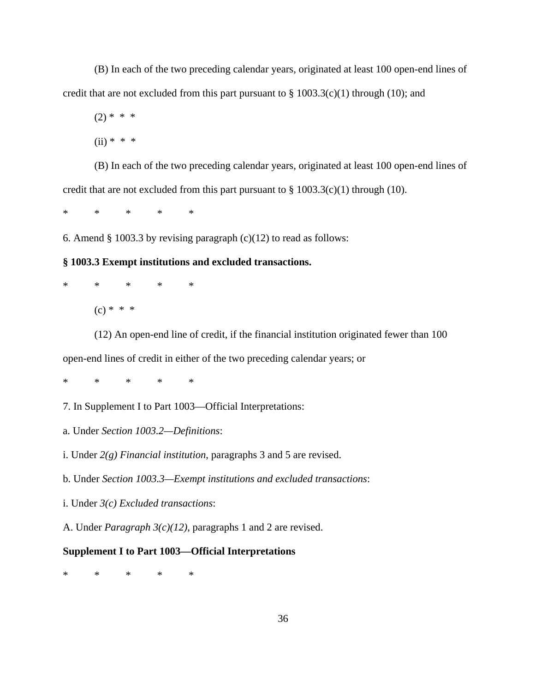(B) In each of the two preceding calendar years, originated at least 100 open-end lines of credit that are not excluded from this part pursuant to  $\S 1003.3(c)(1)$  through (10); and

 $(2) * * * *$ 

 $(ii) * * * *$ 

(B) In each of the two preceding calendar years, originated at least 100 open-end lines of credit that are not excluded from this part pursuant to  $\S 1003.3(c)(1)$  through (10).

\* \* \* \* \*

6. Amend  $\S 1003.3$  by revising paragraph (c)(12) to read as follows:

# **§ 1003.3 Exempt institutions and excluded transactions.**

\* \* \* \* \*  $(c) * * * *$ 

(12) An open-end line of credit, if the financial institution originated fewer than 100 open-end lines of credit in either of the two preceding calendar years; or

\* \* \* \* \*

7. In Supplement I to Part 1003—Official Interpretations:

a. Under *Section 1003.2—Definitions*:

i. Under *2(g) Financial institution*, paragraphs 3 and 5 are revised.

b. Under *Section 1003.3—Exempt institutions and excluded transactions*:

i. Under *3(c) Excluded transactions*:

A. Under *Paragraph 3(c)(12)*, paragraphs 1 and 2 are revised.

## **Supplement I to Part 1003—Official Interpretations**

\* \* \* \* \*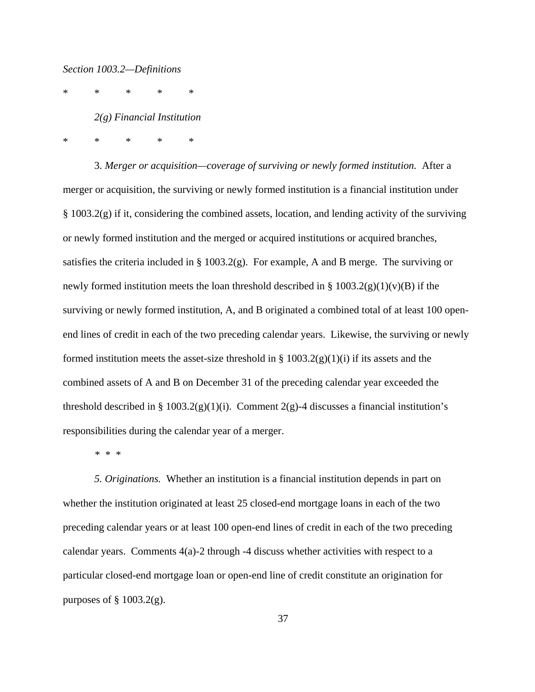## *Section 1003.2—Definitions*

\* \* \* \* \*

*2(g) Financial Institution* 

\* \* \* \* \*

3. *Merger or acquisition—coverage of surviving or newly formed institution.* After a merger or acquisition, the surviving or newly formed institution is a financial institution under  $\S$  1003.2(g) if it, considering the combined assets, location, and lending activity of the surviving or newly formed institution and the merged or acquired institutions or acquired branches, satisfies the criteria included in  $\S 1003.2(g)$ . For example, A and B merge. The surviving or newly formed institution meets the loan threshold described in  $\S 1003.2(g)(1)(v)(B)$  if the surviving or newly formed institution, A, and B originated a combined total of at least 100 openend lines of credit in each of the two preceding calendar years. Likewise, the surviving or newly formed institution meets the asset-size threshold in  $\S$  1003.2(g)(1)(i) if its assets and the combined assets of A and B on December 31 of the preceding calendar year exceeded the threshold described in § 1003.2(g)(1)(i). Comment 2(g)-4 discusses a financial institution's responsibilities during the calendar year of a merger.

*\* \* \**

*5. Originations.* Whether an institution is a financial institution depends in part on whether the institution originated at least 25 closed-end mortgage loans in each of the two preceding calendar years or at least 100 open-end lines of credit in each of the two preceding calendar years. Comments  $4(a)-2$  through  $-4$  discuss whether activities with respect to a particular closed-end mortgage loan or open-end line of credit constitute an origination for purposes of  $\S$  1003.2(g).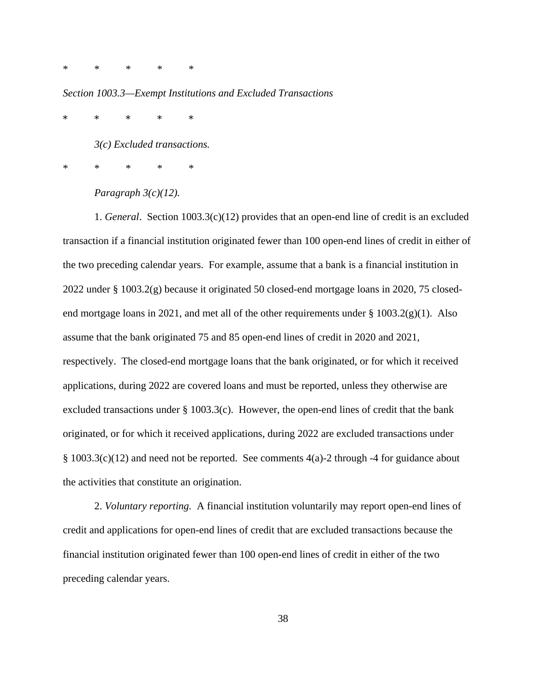\* \* \* \* \*

# *Section 1003.3—Exempt Institutions and Excluded Transactions*

\* \* \* \* \*

*3(c) Excluded transactions.* 

\* \* \* \* \*

## *Paragraph 3(c)(12).*

1. *General*. Section 1003.3(c)(12) provides that an open-end line of credit is an excluded transaction if a financial institution originated fewer than 100 open-end lines of credit in either of the two preceding calendar years. For example, assume that a bank is a financial institution in 2022 under § 1003.2(g) because it originated 50 closed-end mortgage loans in 2020, 75 closedend mortgage loans in 2021, and met all of the other requirements under § 1003.2(g)(1). Also assume that the bank originated 75 and 85 open-end lines of credit in 2020 and 2021, respectively. The closed-end mortgage loans that the bank originated, or for which it received applications, during 2022 are covered loans and must be reported, unless they otherwise are excluded transactions under § 1003.3(c). However, the open-end lines of credit that the bank originated, or for which it received applications, during 2022 are excluded transactions under  $§ 1003.3(c)(12)$  and need not be reported. See comments 4(a)-2 through -4 for guidance about the activities that constitute an origination.

2. *Voluntary reporting.* A financial institution voluntarily may report open-end lines of credit and applications for open-end lines of credit that are excluded transactions because the financial institution originated fewer than 100 open-end lines of credit in either of the two preceding calendar years.